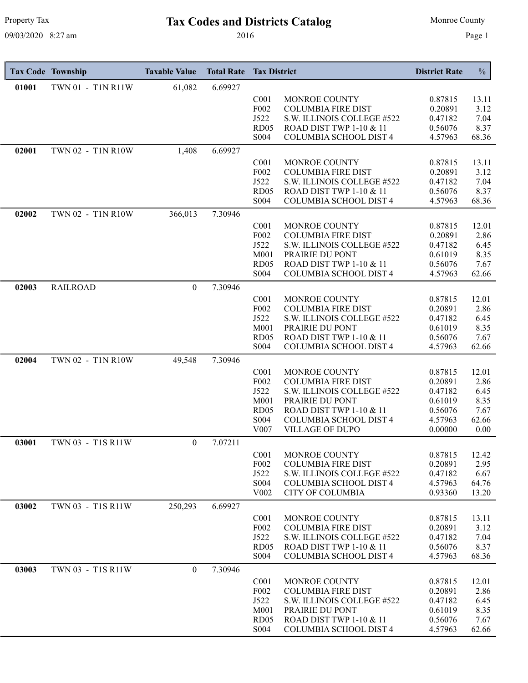# Property Tax **Tax Codes and Districts Catalog** Monroe County

| 01001<br>61,082<br>6.69927<br>TWN 01 - T1N R11W<br>C <sub>001</sub><br>MONROE COUNTY<br>0.87815<br>13.11<br>F <sub>0</sub> 02<br><b>COLUMBIA FIRE DIST</b><br>0.20891<br>3.12<br>J522<br>7.04<br>S.W. ILLINOIS COLLEGE #522<br>0.47182<br>RD <sub>05</sub><br>ROAD DIST TWP 1-10 & 11<br>0.56076<br>8.37<br>S004<br><b>COLUMBIA SCHOOL DIST 4</b><br>4.57963<br>68.36<br>6.69927<br>02001<br>TWN 02 - T1N R10W<br>1,408<br>MONROE COUNTY<br>0.87815<br>C <sub>001</sub><br>13.11<br>F002<br><b>COLUMBIA FIRE DIST</b><br>0.20891<br>3.12<br>J522<br>S.W. ILLINOIS COLLEGE #522<br>0.47182<br>7.04<br>RD <sub>05</sub><br>ROAD DIST TWP 1-10 & 11<br>8.37<br>0.56076<br><b>COLUMBIA SCHOOL DIST 4</b><br>S <sub>0</sub> 04<br>4.57963<br>68.36<br>TWN 02 - T1N R10W<br>7.30946<br>02002<br>366,013<br>MONROE COUNTY<br>0.87815<br>C <sub>001</sub><br>12.01<br>F002<br><b>COLUMBIA FIRE DIST</b><br>0.20891<br>2.86<br>J522<br>S.W. ILLINOIS COLLEGE #522<br>0.47182<br>6.45<br>M001<br>PRAIRIE DU PONT<br>0.61019<br>8.35<br>ROAD DIST TWP 1-10 & 11<br>RD05<br>0.56076<br>7.67<br>S004<br><b>COLUMBIA SCHOOL DIST 4</b><br>4.57963<br>62.66<br><b>RAILROAD</b><br>$\boldsymbol{0}$<br>7.30946<br>02003<br>C <sub>001</sub><br>MONROE COUNTY<br>0.87815<br>12.01<br>F002<br><b>COLUMBIA FIRE DIST</b><br>0.20891<br>2.86<br>J522<br>S.W. ILLINOIS COLLEGE #522<br>0.47182<br>6.45<br>M001<br>PRAIRIE DU PONT<br>8.35<br>0.61019<br>RD <sub>05</sub><br><b>ROAD DIST TWP 1-10 &amp; 11</b><br>0.56076<br>7.67<br>S004<br>COLUMBIA SCHOOL DIST 4<br>4.57963<br>62.66<br>7.30946<br>02004<br>TWN 02 - T1N R10W<br>49,548<br>C <sub>001</sub><br>MONROE COUNTY<br>0.87815<br>12.01<br>F002<br><b>COLUMBIA FIRE DIST</b><br>0.20891<br>2.86<br>J522<br>S.W. ILLINOIS COLLEGE #522<br>0.47182<br>6.45<br>M001<br>PRAIRIE DU PONT<br>8.35<br>0.61019<br>ROAD DIST TWP 1-10 & 11<br>RD <sub>05</sub><br>0.56076<br>7.67<br>S004<br>COLUMBIA SCHOOL DIST 4<br>4.57963<br>62.66<br>V <sub>0</sub> 07<br><b>VILLAGE OF DUPO</b><br>0.00000<br>0.00<br>03001<br>TWN 03 - T1S R11W<br>$\mathbf{0}$<br>7.07211<br>C <sub>001</sub><br>MONROE COUNTY<br>0.87815<br>12.42<br>F002<br>2.95<br><b>COLUMBIA FIRE DIST</b><br>0.20891<br>J522<br>S.W. ILLINOIS COLLEGE #522<br>0.47182<br>6.67<br>S004<br><b>COLUMBIA SCHOOL DIST 4</b><br>4.57963<br>64.76<br>V002<br><b>CITY OF COLUMBIA</b><br>0.93360<br>13.20<br>03002<br>TWN 03 - T1S R11W<br>6.69927<br>250,293<br>C <sub>001</sub><br>MONROE COUNTY<br>0.87815<br>13.11<br>F <sub>0</sub> 02<br><b>COLUMBIA FIRE DIST</b><br>0.20891<br>3.12<br>J522<br>S.W. ILLINOIS COLLEGE #522<br>0.47182<br>7.04<br>RD <sub>05</sub><br>8.37<br>ROAD DIST TWP 1-10 & 11<br>0.56076<br>S004<br>COLUMBIA SCHOOL DIST 4<br>4.57963<br>68.36<br>03003<br>TWN 03 - T1S R11W<br>$\mathbf{0}$<br>7.30946<br>C <sub>001</sub><br>MONROE COUNTY<br>0.87815<br>12.01<br>F002<br><b>COLUMBIA FIRE DIST</b><br>2.86<br>0.20891<br>J522<br>S.W. ILLINOIS COLLEGE #522<br>0.47182<br>6.45<br>M001<br>PRAIRIE DU PONT<br>0.61019<br>8.35<br>RD <sub>05</sub><br>ROAD DIST TWP 1-10 & 11<br>0.56076<br>7.67 | <b>Tax Code Township</b> | <b>Taxable Value</b> | <b>Total Rate</b> | <b>Tax District</b> |                        | <b>District Rate</b> | $\frac{0}{0}$ |
|----------------------------------------------------------------------------------------------------------------------------------------------------------------------------------------------------------------------------------------------------------------------------------------------------------------------------------------------------------------------------------------------------------------------------------------------------------------------------------------------------------------------------------------------------------------------------------------------------------------------------------------------------------------------------------------------------------------------------------------------------------------------------------------------------------------------------------------------------------------------------------------------------------------------------------------------------------------------------------------------------------------------------------------------------------------------------------------------------------------------------------------------------------------------------------------------------------------------------------------------------------------------------------------------------------------------------------------------------------------------------------------------------------------------------------------------------------------------------------------------------------------------------------------------------------------------------------------------------------------------------------------------------------------------------------------------------------------------------------------------------------------------------------------------------------------------------------------------------------------------------------------------------------------------------------------------------------------------------------------------------------------------------------------------------------------------------------------------------------------------------------------------------------------------------------------------------------------------------------------------------------------------------------------------------------------------------------------------------------------------------------------------------------------------------------------------------------------------------------------------------------------------------------------------------------------------------------------------------------------------------------------------------------------------------------------------------------------------------------------------------------------------------------------------------------------------------------------------------------------------------------------------------------------------------------------------------------------------------------------------------------------------------------------------------------------------------------------------------------------------|--------------------------|----------------------|-------------------|---------------------|------------------------|----------------------|---------------|
|                                                                                                                                                                                                                                                                                                                                                                                                                                                                                                                                                                                                                                                                                                                                                                                                                                                                                                                                                                                                                                                                                                                                                                                                                                                                                                                                                                                                                                                                                                                                                                                                                                                                                                                                                                                                                                                                                                                                                                                                                                                                                                                                                                                                                                                                                                                                                                                                                                                                                                                                                                                                                                                                                                                                                                                                                                                                                                                                                                                                                                                                                                                      |                          |                      |                   |                     |                        |                      |               |
|                                                                                                                                                                                                                                                                                                                                                                                                                                                                                                                                                                                                                                                                                                                                                                                                                                                                                                                                                                                                                                                                                                                                                                                                                                                                                                                                                                                                                                                                                                                                                                                                                                                                                                                                                                                                                                                                                                                                                                                                                                                                                                                                                                                                                                                                                                                                                                                                                                                                                                                                                                                                                                                                                                                                                                                                                                                                                                                                                                                                                                                                                                                      |                          |                      |                   |                     |                        |                      |               |
|                                                                                                                                                                                                                                                                                                                                                                                                                                                                                                                                                                                                                                                                                                                                                                                                                                                                                                                                                                                                                                                                                                                                                                                                                                                                                                                                                                                                                                                                                                                                                                                                                                                                                                                                                                                                                                                                                                                                                                                                                                                                                                                                                                                                                                                                                                                                                                                                                                                                                                                                                                                                                                                                                                                                                                                                                                                                                                                                                                                                                                                                                                                      |                          |                      |                   |                     |                        |                      |               |
|                                                                                                                                                                                                                                                                                                                                                                                                                                                                                                                                                                                                                                                                                                                                                                                                                                                                                                                                                                                                                                                                                                                                                                                                                                                                                                                                                                                                                                                                                                                                                                                                                                                                                                                                                                                                                                                                                                                                                                                                                                                                                                                                                                                                                                                                                                                                                                                                                                                                                                                                                                                                                                                                                                                                                                                                                                                                                                                                                                                                                                                                                                                      |                          |                      |                   |                     |                        |                      |               |
|                                                                                                                                                                                                                                                                                                                                                                                                                                                                                                                                                                                                                                                                                                                                                                                                                                                                                                                                                                                                                                                                                                                                                                                                                                                                                                                                                                                                                                                                                                                                                                                                                                                                                                                                                                                                                                                                                                                                                                                                                                                                                                                                                                                                                                                                                                                                                                                                                                                                                                                                                                                                                                                                                                                                                                                                                                                                                                                                                                                                                                                                                                                      |                          |                      |                   |                     |                        |                      |               |
|                                                                                                                                                                                                                                                                                                                                                                                                                                                                                                                                                                                                                                                                                                                                                                                                                                                                                                                                                                                                                                                                                                                                                                                                                                                                                                                                                                                                                                                                                                                                                                                                                                                                                                                                                                                                                                                                                                                                                                                                                                                                                                                                                                                                                                                                                                                                                                                                                                                                                                                                                                                                                                                                                                                                                                                                                                                                                                                                                                                                                                                                                                                      |                          |                      |                   |                     |                        |                      |               |
|                                                                                                                                                                                                                                                                                                                                                                                                                                                                                                                                                                                                                                                                                                                                                                                                                                                                                                                                                                                                                                                                                                                                                                                                                                                                                                                                                                                                                                                                                                                                                                                                                                                                                                                                                                                                                                                                                                                                                                                                                                                                                                                                                                                                                                                                                                                                                                                                                                                                                                                                                                                                                                                                                                                                                                                                                                                                                                                                                                                                                                                                                                                      |                          |                      |                   |                     |                        |                      |               |
|                                                                                                                                                                                                                                                                                                                                                                                                                                                                                                                                                                                                                                                                                                                                                                                                                                                                                                                                                                                                                                                                                                                                                                                                                                                                                                                                                                                                                                                                                                                                                                                                                                                                                                                                                                                                                                                                                                                                                                                                                                                                                                                                                                                                                                                                                                                                                                                                                                                                                                                                                                                                                                                                                                                                                                                                                                                                                                                                                                                                                                                                                                                      |                          |                      |                   |                     |                        |                      |               |
|                                                                                                                                                                                                                                                                                                                                                                                                                                                                                                                                                                                                                                                                                                                                                                                                                                                                                                                                                                                                                                                                                                                                                                                                                                                                                                                                                                                                                                                                                                                                                                                                                                                                                                                                                                                                                                                                                                                                                                                                                                                                                                                                                                                                                                                                                                                                                                                                                                                                                                                                                                                                                                                                                                                                                                                                                                                                                                                                                                                                                                                                                                                      |                          |                      |                   |                     |                        |                      |               |
|                                                                                                                                                                                                                                                                                                                                                                                                                                                                                                                                                                                                                                                                                                                                                                                                                                                                                                                                                                                                                                                                                                                                                                                                                                                                                                                                                                                                                                                                                                                                                                                                                                                                                                                                                                                                                                                                                                                                                                                                                                                                                                                                                                                                                                                                                                                                                                                                                                                                                                                                                                                                                                                                                                                                                                                                                                                                                                                                                                                                                                                                                                                      |                          |                      |                   |                     |                        |                      |               |
|                                                                                                                                                                                                                                                                                                                                                                                                                                                                                                                                                                                                                                                                                                                                                                                                                                                                                                                                                                                                                                                                                                                                                                                                                                                                                                                                                                                                                                                                                                                                                                                                                                                                                                                                                                                                                                                                                                                                                                                                                                                                                                                                                                                                                                                                                                                                                                                                                                                                                                                                                                                                                                                                                                                                                                                                                                                                                                                                                                                                                                                                                                                      |                          |                      |                   |                     |                        |                      |               |
|                                                                                                                                                                                                                                                                                                                                                                                                                                                                                                                                                                                                                                                                                                                                                                                                                                                                                                                                                                                                                                                                                                                                                                                                                                                                                                                                                                                                                                                                                                                                                                                                                                                                                                                                                                                                                                                                                                                                                                                                                                                                                                                                                                                                                                                                                                                                                                                                                                                                                                                                                                                                                                                                                                                                                                                                                                                                                                                                                                                                                                                                                                                      |                          |                      |                   |                     |                        |                      |               |
|                                                                                                                                                                                                                                                                                                                                                                                                                                                                                                                                                                                                                                                                                                                                                                                                                                                                                                                                                                                                                                                                                                                                                                                                                                                                                                                                                                                                                                                                                                                                                                                                                                                                                                                                                                                                                                                                                                                                                                                                                                                                                                                                                                                                                                                                                                                                                                                                                                                                                                                                                                                                                                                                                                                                                                                                                                                                                                                                                                                                                                                                                                                      |                          |                      |                   |                     |                        |                      |               |
|                                                                                                                                                                                                                                                                                                                                                                                                                                                                                                                                                                                                                                                                                                                                                                                                                                                                                                                                                                                                                                                                                                                                                                                                                                                                                                                                                                                                                                                                                                                                                                                                                                                                                                                                                                                                                                                                                                                                                                                                                                                                                                                                                                                                                                                                                                                                                                                                                                                                                                                                                                                                                                                                                                                                                                                                                                                                                                                                                                                                                                                                                                                      |                          |                      |                   |                     |                        |                      |               |
|                                                                                                                                                                                                                                                                                                                                                                                                                                                                                                                                                                                                                                                                                                                                                                                                                                                                                                                                                                                                                                                                                                                                                                                                                                                                                                                                                                                                                                                                                                                                                                                                                                                                                                                                                                                                                                                                                                                                                                                                                                                                                                                                                                                                                                                                                                                                                                                                                                                                                                                                                                                                                                                                                                                                                                                                                                                                                                                                                                                                                                                                                                                      |                          |                      |                   |                     |                        |                      |               |
|                                                                                                                                                                                                                                                                                                                                                                                                                                                                                                                                                                                                                                                                                                                                                                                                                                                                                                                                                                                                                                                                                                                                                                                                                                                                                                                                                                                                                                                                                                                                                                                                                                                                                                                                                                                                                                                                                                                                                                                                                                                                                                                                                                                                                                                                                                                                                                                                                                                                                                                                                                                                                                                                                                                                                                                                                                                                                                                                                                                                                                                                                                                      |                          |                      |                   |                     |                        |                      |               |
|                                                                                                                                                                                                                                                                                                                                                                                                                                                                                                                                                                                                                                                                                                                                                                                                                                                                                                                                                                                                                                                                                                                                                                                                                                                                                                                                                                                                                                                                                                                                                                                                                                                                                                                                                                                                                                                                                                                                                                                                                                                                                                                                                                                                                                                                                                                                                                                                                                                                                                                                                                                                                                                                                                                                                                                                                                                                                                                                                                                                                                                                                                                      |                          |                      |                   |                     |                        |                      |               |
|                                                                                                                                                                                                                                                                                                                                                                                                                                                                                                                                                                                                                                                                                                                                                                                                                                                                                                                                                                                                                                                                                                                                                                                                                                                                                                                                                                                                                                                                                                                                                                                                                                                                                                                                                                                                                                                                                                                                                                                                                                                                                                                                                                                                                                                                                                                                                                                                                                                                                                                                                                                                                                                                                                                                                                                                                                                                                                                                                                                                                                                                                                                      |                          |                      |                   |                     |                        |                      |               |
|                                                                                                                                                                                                                                                                                                                                                                                                                                                                                                                                                                                                                                                                                                                                                                                                                                                                                                                                                                                                                                                                                                                                                                                                                                                                                                                                                                                                                                                                                                                                                                                                                                                                                                                                                                                                                                                                                                                                                                                                                                                                                                                                                                                                                                                                                                                                                                                                                                                                                                                                                                                                                                                                                                                                                                                                                                                                                                                                                                                                                                                                                                                      |                          |                      |                   |                     |                        |                      |               |
|                                                                                                                                                                                                                                                                                                                                                                                                                                                                                                                                                                                                                                                                                                                                                                                                                                                                                                                                                                                                                                                                                                                                                                                                                                                                                                                                                                                                                                                                                                                                                                                                                                                                                                                                                                                                                                                                                                                                                                                                                                                                                                                                                                                                                                                                                                                                                                                                                                                                                                                                                                                                                                                                                                                                                                                                                                                                                                                                                                                                                                                                                                                      |                          |                      |                   |                     |                        |                      |               |
|                                                                                                                                                                                                                                                                                                                                                                                                                                                                                                                                                                                                                                                                                                                                                                                                                                                                                                                                                                                                                                                                                                                                                                                                                                                                                                                                                                                                                                                                                                                                                                                                                                                                                                                                                                                                                                                                                                                                                                                                                                                                                                                                                                                                                                                                                                                                                                                                                                                                                                                                                                                                                                                                                                                                                                                                                                                                                                                                                                                                                                                                                                                      |                          |                      |                   |                     |                        |                      |               |
|                                                                                                                                                                                                                                                                                                                                                                                                                                                                                                                                                                                                                                                                                                                                                                                                                                                                                                                                                                                                                                                                                                                                                                                                                                                                                                                                                                                                                                                                                                                                                                                                                                                                                                                                                                                                                                                                                                                                                                                                                                                                                                                                                                                                                                                                                                                                                                                                                                                                                                                                                                                                                                                                                                                                                                                                                                                                                                                                                                                                                                                                                                                      |                          |                      |                   |                     |                        |                      |               |
|                                                                                                                                                                                                                                                                                                                                                                                                                                                                                                                                                                                                                                                                                                                                                                                                                                                                                                                                                                                                                                                                                                                                                                                                                                                                                                                                                                                                                                                                                                                                                                                                                                                                                                                                                                                                                                                                                                                                                                                                                                                                                                                                                                                                                                                                                                                                                                                                                                                                                                                                                                                                                                                                                                                                                                                                                                                                                                                                                                                                                                                                                                                      |                          |                      |                   |                     |                        |                      |               |
|                                                                                                                                                                                                                                                                                                                                                                                                                                                                                                                                                                                                                                                                                                                                                                                                                                                                                                                                                                                                                                                                                                                                                                                                                                                                                                                                                                                                                                                                                                                                                                                                                                                                                                                                                                                                                                                                                                                                                                                                                                                                                                                                                                                                                                                                                                                                                                                                                                                                                                                                                                                                                                                                                                                                                                                                                                                                                                                                                                                                                                                                                                                      |                          |                      |                   |                     |                        |                      |               |
|                                                                                                                                                                                                                                                                                                                                                                                                                                                                                                                                                                                                                                                                                                                                                                                                                                                                                                                                                                                                                                                                                                                                                                                                                                                                                                                                                                                                                                                                                                                                                                                                                                                                                                                                                                                                                                                                                                                                                                                                                                                                                                                                                                                                                                                                                                                                                                                                                                                                                                                                                                                                                                                                                                                                                                                                                                                                                                                                                                                                                                                                                                                      |                          |                      |                   |                     |                        |                      |               |
|                                                                                                                                                                                                                                                                                                                                                                                                                                                                                                                                                                                                                                                                                                                                                                                                                                                                                                                                                                                                                                                                                                                                                                                                                                                                                                                                                                                                                                                                                                                                                                                                                                                                                                                                                                                                                                                                                                                                                                                                                                                                                                                                                                                                                                                                                                                                                                                                                                                                                                                                                                                                                                                                                                                                                                                                                                                                                                                                                                                                                                                                                                                      |                          |                      |                   |                     |                        |                      |               |
|                                                                                                                                                                                                                                                                                                                                                                                                                                                                                                                                                                                                                                                                                                                                                                                                                                                                                                                                                                                                                                                                                                                                                                                                                                                                                                                                                                                                                                                                                                                                                                                                                                                                                                                                                                                                                                                                                                                                                                                                                                                                                                                                                                                                                                                                                                                                                                                                                                                                                                                                                                                                                                                                                                                                                                                                                                                                                                                                                                                                                                                                                                                      |                          |                      |                   |                     |                        |                      |               |
|                                                                                                                                                                                                                                                                                                                                                                                                                                                                                                                                                                                                                                                                                                                                                                                                                                                                                                                                                                                                                                                                                                                                                                                                                                                                                                                                                                                                                                                                                                                                                                                                                                                                                                                                                                                                                                                                                                                                                                                                                                                                                                                                                                                                                                                                                                                                                                                                                                                                                                                                                                                                                                                                                                                                                                                                                                                                                                                                                                                                                                                                                                                      |                          |                      |                   |                     |                        |                      |               |
|                                                                                                                                                                                                                                                                                                                                                                                                                                                                                                                                                                                                                                                                                                                                                                                                                                                                                                                                                                                                                                                                                                                                                                                                                                                                                                                                                                                                                                                                                                                                                                                                                                                                                                                                                                                                                                                                                                                                                                                                                                                                                                                                                                                                                                                                                                                                                                                                                                                                                                                                                                                                                                                                                                                                                                                                                                                                                                                                                                                                                                                                                                                      |                          |                      |                   |                     |                        |                      |               |
|                                                                                                                                                                                                                                                                                                                                                                                                                                                                                                                                                                                                                                                                                                                                                                                                                                                                                                                                                                                                                                                                                                                                                                                                                                                                                                                                                                                                                                                                                                                                                                                                                                                                                                                                                                                                                                                                                                                                                                                                                                                                                                                                                                                                                                                                                                                                                                                                                                                                                                                                                                                                                                                                                                                                                                                                                                                                                                                                                                                                                                                                                                                      |                          |                      |                   |                     |                        |                      |               |
|                                                                                                                                                                                                                                                                                                                                                                                                                                                                                                                                                                                                                                                                                                                                                                                                                                                                                                                                                                                                                                                                                                                                                                                                                                                                                                                                                                                                                                                                                                                                                                                                                                                                                                                                                                                                                                                                                                                                                                                                                                                                                                                                                                                                                                                                                                                                                                                                                                                                                                                                                                                                                                                                                                                                                                                                                                                                                                                                                                                                                                                                                                                      |                          |                      |                   |                     |                        |                      |               |
|                                                                                                                                                                                                                                                                                                                                                                                                                                                                                                                                                                                                                                                                                                                                                                                                                                                                                                                                                                                                                                                                                                                                                                                                                                                                                                                                                                                                                                                                                                                                                                                                                                                                                                                                                                                                                                                                                                                                                                                                                                                                                                                                                                                                                                                                                                                                                                                                                                                                                                                                                                                                                                                                                                                                                                                                                                                                                                                                                                                                                                                                                                                      |                          |                      |                   |                     |                        |                      |               |
|                                                                                                                                                                                                                                                                                                                                                                                                                                                                                                                                                                                                                                                                                                                                                                                                                                                                                                                                                                                                                                                                                                                                                                                                                                                                                                                                                                                                                                                                                                                                                                                                                                                                                                                                                                                                                                                                                                                                                                                                                                                                                                                                                                                                                                                                                                                                                                                                                                                                                                                                                                                                                                                                                                                                                                                                                                                                                                                                                                                                                                                                                                                      |                          |                      |                   |                     |                        |                      |               |
|                                                                                                                                                                                                                                                                                                                                                                                                                                                                                                                                                                                                                                                                                                                                                                                                                                                                                                                                                                                                                                                                                                                                                                                                                                                                                                                                                                                                                                                                                                                                                                                                                                                                                                                                                                                                                                                                                                                                                                                                                                                                                                                                                                                                                                                                                                                                                                                                                                                                                                                                                                                                                                                                                                                                                                                                                                                                                                                                                                                                                                                                                                                      |                          |                      |                   |                     |                        |                      |               |
|                                                                                                                                                                                                                                                                                                                                                                                                                                                                                                                                                                                                                                                                                                                                                                                                                                                                                                                                                                                                                                                                                                                                                                                                                                                                                                                                                                                                                                                                                                                                                                                                                                                                                                                                                                                                                                                                                                                                                                                                                                                                                                                                                                                                                                                                                                                                                                                                                                                                                                                                                                                                                                                                                                                                                                                                                                                                                                                                                                                                                                                                                                                      |                          |                      |                   |                     |                        |                      |               |
|                                                                                                                                                                                                                                                                                                                                                                                                                                                                                                                                                                                                                                                                                                                                                                                                                                                                                                                                                                                                                                                                                                                                                                                                                                                                                                                                                                                                                                                                                                                                                                                                                                                                                                                                                                                                                                                                                                                                                                                                                                                                                                                                                                                                                                                                                                                                                                                                                                                                                                                                                                                                                                                                                                                                                                                                                                                                                                                                                                                                                                                                                                                      |                          |                      |                   |                     |                        |                      |               |
|                                                                                                                                                                                                                                                                                                                                                                                                                                                                                                                                                                                                                                                                                                                                                                                                                                                                                                                                                                                                                                                                                                                                                                                                                                                                                                                                                                                                                                                                                                                                                                                                                                                                                                                                                                                                                                                                                                                                                                                                                                                                                                                                                                                                                                                                                                                                                                                                                                                                                                                                                                                                                                                                                                                                                                                                                                                                                                                                                                                                                                                                                                                      |                          |                      |                   |                     |                        |                      |               |
|                                                                                                                                                                                                                                                                                                                                                                                                                                                                                                                                                                                                                                                                                                                                                                                                                                                                                                                                                                                                                                                                                                                                                                                                                                                                                                                                                                                                                                                                                                                                                                                                                                                                                                                                                                                                                                                                                                                                                                                                                                                                                                                                                                                                                                                                                                                                                                                                                                                                                                                                                                                                                                                                                                                                                                                                                                                                                                                                                                                                                                                                                                                      |                          |                      |                   |                     |                        |                      |               |
|                                                                                                                                                                                                                                                                                                                                                                                                                                                                                                                                                                                                                                                                                                                                                                                                                                                                                                                                                                                                                                                                                                                                                                                                                                                                                                                                                                                                                                                                                                                                                                                                                                                                                                                                                                                                                                                                                                                                                                                                                                                                                                                                                                                                                                                                                                                                                                                                                                                                                                                                                                                                                                                                                                                                                                                                                                                                                                                                                                                                                                                                                                                      |                          |                      |                   |                     |                        |                      |               |
|                                                                                                                                                                                                                                                                                                                                                                                                                                                                                                                                                                                                                                                                                                                                                                                                                                                                                                                                                                                                                                                                                                                                                                                                                                                                                                                                                                                                                                                                                                                                                                                                                                                                                                                                                                                                                                                                                                                                                                                                                                                                                                                                                                                                                                                                                                                                                                                                                                                                                                                                                                                                                                                                                                                                                                                                                                                                                                                                                                                                                                                                                                                      |                          |                      |                   |                     |                        |                      |               |
|                                                                                                                                                                                                                                                                                                                                                                                                                                                                                                                                                                                                                                                                                                                                                                                                                                                                                                                                                                                                                                                                                                                                                                                                                                                                                                                                                                                                                                                                                                                                                                                                                                                                                                                                                                                                                                                                                                                                                                                                                                                                                                                                                                                                                                                                                                                                                                                                                                                                                                                                                                                                                                                                                                                                                                                                                                                                                                                                                                                                                                                                                                                      |                          |                      |                   |                     |                        |                      |               |
|                                                                                                                                                                                                                                                                                                                                                                                                                                                                                                                                                                                                                                                                                                                                                                                                                                                                                                                                                                                                                                                                                                                                                                                                                                                                                                                                                                                                                                                                                                                                                                                                                                                                                                                                                                                                                                                                                                                                                                                                                                                                                                                                                                                                                                                                                                                                                                                                                                                                                                                                                                                                                                                                                                                                                                                                                                                                                                                                                                                                                                                                                                                      |                          |                      |                   |                     |                        |                      |               |
|                                                                                                                                                                                                                                                                                                                                                                                                                                                                                                                                                                                                                                                                                                                                                                                                                                                                                                                                                                                                                                                                                                                                                                                                                                                                                                                                                                                                                                                                                                                                                                                                                                                                                                                                                                                                                                                                                                                                                                                                                                                                                                                                                                                                                                                                                                                                                                                                                                                                                                                                                                                                                                                                                                                                                                                                                                                                                                                                                                                                                                                                                                                      |                          |                      |                   |                     |                        |                      |               |
|                                                                                                                                                                                                                                                                                                                                                                                                                                                                                                                                                                                                                                                                                                                                                                                                                                                                                                                                                                                                                                                                                                                                                                                                                                                                                                                                                                                                                                                                                                                                                                                                                                                                                                                                                                                                                                                                                                                                                                                                                                                                                                                                                                                                                                                                                                                                                                                                                                                                                                                                                                                                                                                                                                                                                                                                                                                                                                                                                                                                                                                                                                                      |                          |                      |                   |                     |                        |                      |               |
|                                                                                                                                                                                                                                                                                                                                                                                                                                                                                                                                                                                                                                                                                                                                                                                                                                                                                                                                                                                                                                                                                                                                                                                                                                                                                                                                                                                                                                                                                                                                                                                                                                                                                                                                                                                                                                                                                                                                                                                                                                                                                                                                                                                                                                                                                                                                                                                                                                                                                                                                                                                                                                                                                                                                                                                                                                                                                                                                                                                                                                                                                                                      |                          |                      |                   |                     |                        |                      |               |
|                                                                                                                                                                                                                                                                                                                                                                                                                                                                                                                                                                                                                                                                                                                                                                                                                                                                                                                                                                                                                                                                                                                                                                                                                                                                                                                                                                                                                                                                                                                                                                                                                                                                                                                                                                                                                                                                                                                                                                                                                                                                                                                                                                                                                                                                                                                                                                                                                                                                                                                                                                                                                                                                                                                                                                                                                                                                                                                                                                                                                                                                                                                      |                          |                      |                   |                     |                        |                      |               |
|                                                                                                                                                                                                                                                                                                                                                                                                                                                                                                                                                                                                                                                                                                                                                                                                                                                                                                                                                                                                                                                                                                                                                                                                                                                                                                                                                                                                                                                                                                                                                                                                                                                                                                                                                                                                                                                                                                                                                                                                                                                                                                                                                                                                                                                                                                                                                                                                                                                                                                                                                                                                                                                                                                                                                                                                                                                                                                                                                                                                                                                                                                                      |                          |                      |                   |                     |                        |                      |               |
|                                                                                                                                                                                                                                                                                                                                                                                                                                                                                                                                                                                                                                                                                                                                                                                                                                                                                                                                                                                                                                                                                                                                                                                                                                                                                                                                                                                                                                                                                                                                                                                                                                                                                                                                                                                                                                                                                                                                                                                                                                                                                                                                                                                                                                                                                                                                                                                                                                                                                                                                                                                                                                                                                                                                                                                                                                                                                                                                                                                                                                                                                                                      |                          |                      |                   |                     |                        |                      |               |
|                                                                                                                                                                                                                                                                                                                                                                                                                                                                                                                                                                                                                                                                                                                                                                                                                                                                                                                                                                                                                                                                                                                                                                                                                                                                                                                                                                                                                                                                                                                                                                                                                                                                                                                                                                                                                                                                                                                                                                                                                                                                                                                                                                                                                                                                                                                                                                                                                                                                                                                                                                                                                                                                                                                                                                                                                                                                                                                                                                                                                                                                                                                      |                          |                      |                   |                     |                        |                      |               |
|                                                                                                                                                                                                                                                                                                                                                                                                                                                                                                                                                                                                                                                                                                                                                                                                                                                                                                                                                                                                                                                                                                                                                                                                                                                                                                                                                                                                                                                                                                                                                                                                                                                                                                                                                                                                                                                                                                                                                                                                                                                                                                                                                                                                                                                                                                                                                                                                                                                                                                                                                                                                                                                                                                                                                                                                                                                                                                                                                                                                                                                                                                                      |                          |                      |                   |                     |                        |                      |               |
|                                                                                                                                                                                                                                                                                                                                                                                                                                                                                                                                                                                                                                                                                                                                                                                                                                                                                                                                                                                                                                                                                                                                                                                                                                                                                                                                                                                                                                                                                                                                                                                                                                                                                                                                                                                                                                                                                                                                                                                                                                                                                                                                                                                                                                                                                                                                                                                                                                                                                                                                                                                                                                                                                                                                                                                                                                                                                                                                                                                                                                                                                                                      |                          |                      |                   | S004                | COLUMBIA SCHOOL DIST 4 | 4.57963              | 62.66         |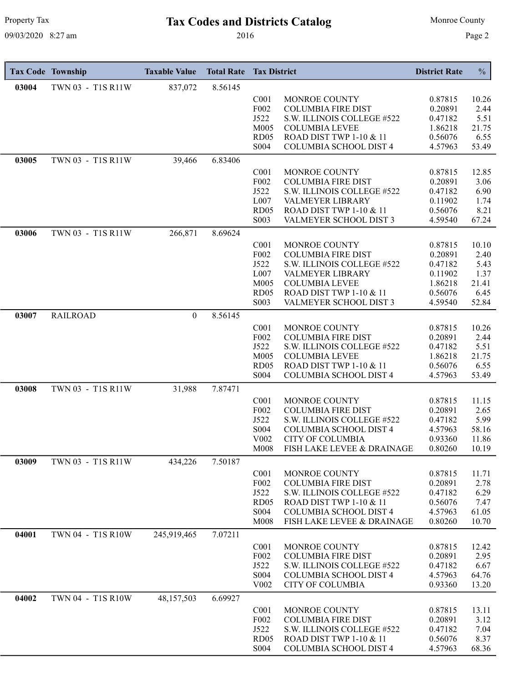# Property Tax **Tax Codes and Districts Catalog** Monroe County

|       | <b>Tax Code Township</b> | <b>Taxable Value</b> | <b>Total Rate</b> | <b>Tax District</b>      |                                                              | <b>District Rate</b> | $\frac{0}{0}$  |
|-------|--------------------------|----------------------|-------------------|--------------------------|--------------------------------------------------------------|----------------------|----------------|
| 03004 | TWN 03 - T1S R11W        | 837,072              | 8.56145           |                          |                                                              |                      |                |
|       |                          |                      |                   | C <sub>001</sub>         | MONROE COUNTY                                                | 0.87815              | 10.26          |
|       |                          |                      |                   | F002                     | <b>COLUMBIA FIRE DIST</b>                                    | 0.20891              | 2.44           |
|       |                          |                      |                   | J522                     | S.W. ILLINOIS COLLEGE #522                                   | 0.47182              | 5.51           |
|       |                          |                      |                   | M005<br>RD <sub>05</sub> | <b>COLUMBIA LEVEE</b><br>ROAD DIST TWP 1-10 & 11             | 1.86218<br>0.56076   | 21.75<br>6.55  |
|       |                          |                      |                   | S004                     | COLUMBIA SCHOOL DIST 4                                       | 4.57963              | 53.49          |
| 03005 | TWN 03 - T1S R11W        | 39,466               | 6.83406           |                          |                                                              |                      |                |
|       |                          |                      |                   | C <sub>001</sub>         | MONROE COUNTY                                                | 0.87815              | 12.85          |
|       |                          |                      |                   | F002                     | <b>COLUMBIA FIRE DIST</b>                                    | 0.20891              | 3.06           |
|       |                          |                      |                   | J522                     | S.W. ILLINOIS COLLEGE #522                                   | 0.47182              | 6.90           |
|       |                          |                      |                   | L007                     | <b>VALMEYER LIBRARY</b>                                      | 0.11902              | 1.74           |
|       |                          |                      |                   | RD05<br>S003             | <b>ROAD DIST TWP 1-10 &amp; 11</b><br>VALMEYER SCHOOL DIST 3 | 0.56076<br>4.59540   | 8.21<br>67.24  |
|       |                          |                      |                   |                          |                                                              |                      |                |
| 03006 | TWN 03 - T1S R11W        | 266,871              | 8.69624           |                          |                                                              |                      |                |
|       |                          |                      |                   | C <sub>001</sub><br>F002 | MONROE COUNTY<br><b>COLUMBIA FIRE DIST</b>                   | 0.87815<br>0.20891   | 10.10<br>2.40  |
|       |                          |                      |                   | J522                     | S.W. ILLINOIS COLLEGE #522                                   | 0.47182              | 5.43           |
|       |                          |                      |                   | L007                     | VALMEYER LIBRARY                                             | 0.11902              | 1.37           |
|       |                          |                      |                   | M005                     | <b>COLUMBIA LEVEE</b>                                        | 1.86218              | 21.41          |
|       |                          |                      |                   | RD <sub>05</sub>         | ROAD DIST TWP 1-10 & 11                                      | 0.56076              | 6.45           |
|       |                          |                      |                   | S003                     | VALMEYER SCHOOL DIST 3                                       | 4.59540              | 52.84          |
| 03007 | <b>RAILROAD</b>          | $\Omega$             | 8.56145           |                          |                                                              |                      |                |
|       |                          |                      |                   | C <sub>001</sub>         | MONROE COUNTY                                                | 0.87815              | 10.26          |
|       |                          |                      |                   | F002<br>J522             | <b>COLUMBIA FIRE DIST</b><br>S.W. ILLINOIS COLLEGE #522      | 0.20891<br>0.47182   | 2.44<br>5.51   |
|       |                          |                      |                   | M005                     | <b>COLUMBIA LEVEE</b>                                        | 1.86218              | 21.75          |
|       |                          |                      |                   | RD05                     | ROAD DIST TWP 1-10 & 11                                      | 0.56076              | 6.55           |
|       |                          |                      |                   | S004                     | COLUMBIA SCHOOL DIST 4                                       | 4.57963              | 53.49          |
| 03008 | TWN 03 - T1S R11W        | 31,988               | 7.87471           |                          |                                                              |                      |                |
|       |                          |                      |                   | C <sub>001</sub>         | MONROE COUNTY                                                | 0.87815              | 11.15          |
|       |                          |                      |                   | F002                     | <b>COLUMBIA FIRE DIST</b>                                    | 0.20891              | 2.65           |
|       |                          |                      |                   | J522                     | S.W. ILLINOIS COLLEGE #522                                   | 0.47182              | 5.99           |
|       |                          |                      |                   | S004<br>V002             | <b>COLUMBIA SCHOOL DIST 4</b><br><b>CITY OF COLUMBIA</b>     | 4.57963<br>0.93360   | 58.16<br>11.86 |
|       |                          |                      |                   | M008                     | FISH LAKE LEVEE & DRAINAGE                                   | 0.80260              | 10.19          |
| 03009 | TWN 03 - T1S R11W        | 434,226              | 7.50187           |                          |                                                              |                      |                |
|       |                          |                      |                   | C <sub>001</sub>         | MONROE COUNTY                                                | 0.87815              | 11.71          |
|       |                          |                      |                   | F002                     | <b>COLUMBIA FIRE DIST</b>                                    | 0.20891              | 2.78           |
|       |                          |                      |                   | J522                     | S.W. ILLINOIS COLLEGE #522                                   | 0.47182              | 6.29           |
|       |                          |                      |                   | RD <sub>05</sub>         | ROAD DIST TWP 1-10 & 11                                      | 0.56076              | 7.47           |
|       |                          |                      |                   | S004<br>M008             | COLUMBIA SCHOOL DIST 4<br>FISH LAKE LEVEE & DRAINAGE         | 4.57963<br>0.80260   | 61.05<br>10.70 |
|       |                          |                      |                   |                          |                                                              |                      |                |
| 04001 | TWN 04 - T1S R10W        | 245,919,465          | 7.07211           |                          |                                                              |                      |                |
|       |                          |                      |                   | C <sub>001</sub><br>F002 | MONROE COUNTY<br><b>COLUMBIA FIRE DIST</b>                   | 0.87815<br>0.20891   | 12.42<br>2.95  |
|       |                          |                      |                   | J522                     | S.W. ILLINOIS COLLEGE #522                                   | 0.47182              | 6.67           |
|       |                          |                      |                   | S004                     | COLUMBIA SCHOOL DIST 4                                       | 4.57963              | 64.76          |
|       |                          |                      |                   | V002                     | <b>CITY OF COLUMBIA</b>                                      | 0.93360              | 13.20          |
| 04002 | TWN 04 - T1S R10W        | 48,157,503           | 6.69927           |                          |                                                              |                      |                |
|       |                          |                      |                   | C <sub>001</sub>         | MONROE COUNTY                                                | 0.87815              | 13.11          |
|       |                          |                      |                   | F002                     | <b>COLUMBIA FIRE DIST</b>                                    | 0.20891              | 3.12           |
|       |                          |                      |                   | J522<br>RD <sub>05</sub> | S.W. ILLINOIS COLLEGE #522<br>ROAD DIST TWP 1-10 & 11        | 0.47182              | 7.04           |
|       |                          |                      |                   | S004                     | COLUMBIA SCHOOL DIST 4                                       | 0.56076<br>4.57963   | 8.37<br>68.36  |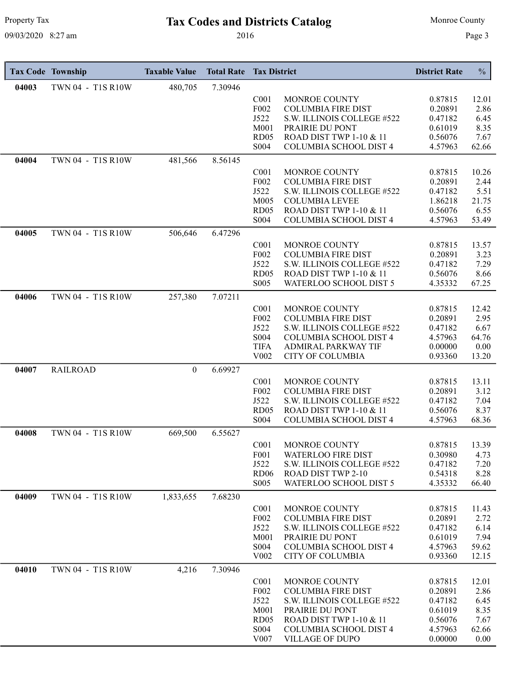# Property Tax **Tax Codes and Districts Catalog** Monroe County

|       | <b>Tax Code Township</b> | <b>Taxable Value</b> | <b>Total Rate</b> | <b>Tax District</b>      |                                                         | <b>District Rate</b> | $\frac{0}{0}$ |
|-------|--------------------------|----------------------|-------------------|--------------------------|---------------------------------------------------------|----------------------|---------------|
| 04003 | TWN 04 - T1S R10W        | 480,705              | 7.30946           |                          |                                                         |                      |               |
|       |                          |                      |                   | C <sub>001</sub>         | MONROE COUNTY                                           | 0.87815              | 12.01         |
|       |                          |                      |                   | F <sub>0</sub> 02        | <b>COLUMBIA FIRE DIST</b>                               | 0.20891              | 2.86          |
|       |                          |                      |                   | J522<br>M001             | S.W. ILLINOIS COLLEGE #522<br>PRAIRIE DU PONT           | 0.47182<br>0.61019   | 6.45<br>8.35  |
|       |                          |                      |                   | RD <sub>05</sub>         | ROAD DIST TWP 1-10 & 11                                 | 0.56076              | 7.67          |
|       |                          |                      |                   | S004                     | <b>COLUMBIA SCHOOL DIST 4</b>                           | 4.57963              | 62.66         |
| 04004 | TWN 04 - T1S R10W        | 481,566              | 8.56145           |                          |                                                         |                      |               |
|       |                          |                      |                   | C <sub>001</sub>         | MONROE COUNTY                                           | 0.87815              | 10.26         |
|       |                          |                      |                   | F002                     | <b>COLUMBIA FIRE DIST</b>                               | 0.20891              | 2.44          |
|       |                          |                      |                   | J522<br>M005             | S.W. ILLINOIS COLLEGE #522<br><b>COLUMBIA LEVEE</b>     | 0.47182              | 5.51<br>21.75 |
|       |                          |                      |                   | RD <sub>05</sub>         | ROAD DIST TWP 1-10 & 11                                 | 1.86218<br>0.56076   | 6.55          |
|       |                          |                      |                   | S004                     | <b>COLUMBIA SCHOOL DIST 4</b>                           | 4.57963              | 53.49         |
| 04005 | TWN 04 - T1S R10W        | 506,646              | 6.47296           |                          |                                                         |                      |               |
|       |                          |                      |                   | C <sub>001</sub>         | <b>MONROE COUNTY</b>                                    | 0.87815              | 13.57         |
|       |                          |                      |                   | F002                     | <b>COLUMBIA FIRE DIST</b>                               | 0.20891              | 3.23          |
|       |                          |                      |                   | J522                     | S.W. ILLINOIS COLLEGE #522                              | 0.47182              | 7.29          |
|       |                          |                      |                   | RD <sub>05</sub><br>S005 | ROAD DIST TWP 1-10 & 11<br>WATERLOO SCHOOL DIST 5       | 0.56076<br>4.35332   | 8.66<br>67.25 |
| 04006 | TWN 04 - T1S R10W        | 257,380              | 7.07211           |                          |                                                         |                      |               |
|       |                          |                      |                   | C <sub>001</sub>         | MONROE COUNTY                                           | 0.87815              | 12.42         |
|       |                          |                      |                   | F <sub>002</sub>         | <b>COLUMBIA FIRE DIST</b>                               | 0.20891              | 2.95          |
|       |                          |                      |                   | J522                     | S.W. ILLINOIS COLLEGE #522                              | 0.47182              | 6.67          |
|       |                          |                      |                   | S004                     | COLUMBIA SCHOOL DIST 4                                  | 4.57963              | 64.76         |
|       |                          |                      |                   | <b>TIFA</b>              | <b>ADMIRAL PARKWAY TIF</b><br><b>CITY OF COLUMBIA</b>   | 0.00000<br>0.93360   | 0.00<br>13.20 |
| 04007 | <b>RAILROAD</b>          | $\boldsymbol{0}$     | 6.69927           | V <sub>0</sub> 02        |                                                         |                      |               |
|       |                          |                      |                   | C <sub>001</sub>         | MONROE COUNTY                                           | 0.87815              | 13.11         |
|       |                          |                      |                   | F002                     | <b>COLUMBIA FIRE DIST</b>                               | 0.20891              | 3.12          |
|       |                          |                      |                   | J522                     | S.W. ILLINOIS COLLEGE #522                              | 0.47182              | 7.04          |
|       |                          |                      |                   | RD <sub>05</sub>         | ROAD DIST TWP 1-10 & 11                                 | 0.56076              | 8.37          |
|       |                          |                      |                   | S004                     | COLUMBIA SCHOOL DIST 4                                  | 4.57963              | 68.36         |
| 04008 | TWN 04 - T1S R10W        | 669,500              | 6.55627           |                          |                                                         |                      |               |
|       |                          |                      |                   | C <sub>001</sub>         | MONROE COUNTY                                           | 0.87815              | 13.39         |
|       |                          |                      |                   | F001<br>J522             | <b>WATERLOO FIRE DIST</b><br>S.W. ILLINOIS COLLEGE #522 | 0.30980<br>0.47182   | 4.73<br>7.20  |
|       |                          |                      |                   | <b>RD06</b>              | <b>ROAD DIST TWP 2-10</b>                               | 0.54318              | 8.28          |
|       |                          |                      |                   | S <sub>0</sub> 05        | WATERLOO SCHOOL DIST 5                                  | 4.35332              | 66.40         |
| 04009 | TWN 04 - T1S R10W        | 1,833,655            | 7.68230           |                          |                                                         |                      |               |
|       |                          |                      |                   | C <sub>001</sub>         | MONROE COUNTY                                           | 0.87815              | 11.43         |
|       |                          |                      |                   | F <sub>002</sub><br>J522 | <b>COLUMBIA FIRE DIST</b><br>S.W. ILLINOIS COLLEGE #522 | 0.20891<br>0.47182   | 2.72<br>6.14  |
|       |                          |                      |                   | M001                     | PRAIRIE DU PONT                                         | 0.61019              | 7.94          |
|       |                          |                      |                   | S004                     | COLUMBIA SCHOOL DIST 4                                  | 4.57963              | 59.62         |
|       |                          |                      |                   | V <sub>0</sub> 02        | <b>CITY OF COLUMBIA</b>                                 | 0.93360              | 12.15         |
| 04010 | TWN 04 - T1S R10W        | 4,216                | 7.30946           |                          |                                                         |                      |               |
|       |                          |                      |                   | C <sub>001</sub>         | MONROE COUNTY                                           | 0.87815              | 12.01         |
|       |                          |                      |                   | F002                     | <b>COLUMBIA FIRE DIST</b>                               | 0.20891              | 2.86          |
|       |                          |                      |                   | J522<br>M001             | S.W. ILLINOIS COLLEGE #522<br>PRAIRIE DU PONT           | 0.47182<br>0.61019   | 6.45<br>8.35  |
|       |                          |                      |                   | RD <sub>05</sub>         | ROAD DIST TWP 1-10 & 11                                 | 0.56076              | 7.67          |
|       |                          |                      |                   | S004                     | <b>COLUMBIA SCHOOL DIST 4</b>                           | 4.57963              | 62.66         |
|       |                          |                      |                   | V007                     | VILLAGE OF DUPO                                         | 0.00000              | 0.00          |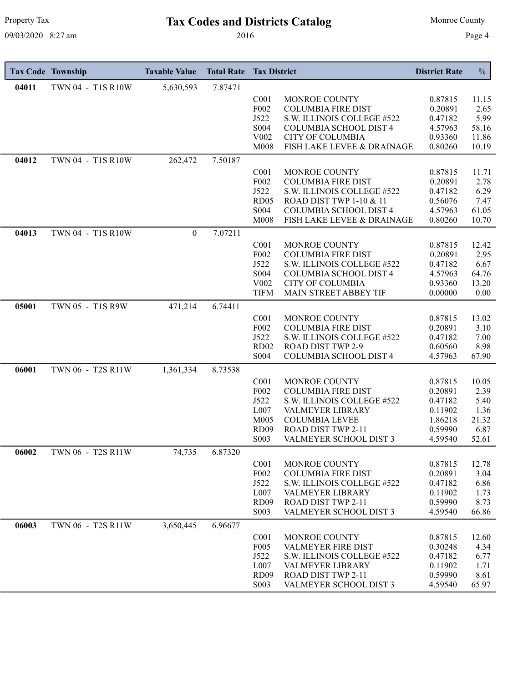# Property Tax **Tax Codes and Districts Catalog** Monroe County

|       | <b>Tax Code Township</b> | <b>Taxable Value</b> | <b>Total Rate</b> | <b>Tax District</b>      |                                                         | <b>District Rate</b> | $\frac{0}{0}$ |
|-------|--------------------------|----------------------|-------------------|--------------------------|---------------------------------------------------------|----------------------|---------------|
| 04011 | TWN 04 - T1S R10W        | 5,630,593            | 7.87471           |                          |                                                         |                      |               |
|       |                          |                      |                   | C <sub>001</sub>         | MONROE COUNTY                                           | 0.87815              | 11.15         |
|       |                          |                      |                   | F002                     | <b>COLUMBIA FIRE DIST</b>                               | 0.20891              | 2.65          |
|       |                          |                      |                   | J522                     | S.W. ILLINOIS COLLEGE #522                              | 0.47182              | 5.99          |
|       |                          |                      |                   | S004                     | <b>COLUMBIA SCHOOL DIST 4</b>                           | 4.57963              | 58.16         |
|       |                          |                      |                   | V002                     | <b>CITY OF COLUMBIA</b>                                 | 0.93360              | 11.86         |
|       |                          |                      |                   | M008                     | FISH LAKE LEVEE & DRAINAGE                              | 0.80260              | 10.19         |
| 04012 | TWN 04 - T1S R10W        | 262,472              | 7.50187           |                          |                                                         |                      |               |
|       |                          |                      |                   | C <sub>001</sub>         | MONROE COUNTY                                           | 0.87815              | 11.71         |
|       |                          |                      |                   | F002                     | <b>COLUMBIA FIRE DIST</b>                               | 0.20891              | 2.78          |
|       |                          |                      |                   | J522                     | S.W. ILLINOIS COLLEGE #522                              | 0.47182              | 6.29          |
|       |                          |                      |                   | RD05                     | <b>ROAD DIST TWP 1-10 &amp; 11</b>                      | 0.56076              | 7.47          |
|       |                          |                      |                   | S004                     | <b>COLUMBIA SCHOOL DIST 4</b>                           | 4.57963              | 61.05         |
|       |                          |                      |                   | M008                     | FISH LAKE LEVEE & DRAINAGE                              | 0.80260              | 10.70         |
| 04013 | TWN 04 - T1S R10W        | $\overline{0}$       | 7.07211           |                          |                                                         |                      |               |
|       |                          |                      |                   | C <sub>001</sub>         | MONROE COUNTY                                           | 0.87815              | 12.42         |
|       |                          |                      |                   | F002                     | <b>COLUMBIA FIRE DIST</b>                               | 0.20891              | 2.95          |
|       |                          |                      |                   | J522                     | S.W. ILLINOIS COLLEGE #522                              | 0.47182              | 6.67          |
|       |                          |                      |                   | S004                     | <b>COLUMBIA SCHOOL DIST 4</b>                           | 4.57963              | 64.76         |
|       |                          |                      |                   | V002<br><b>TIFM</b>      | <b>CITY OF COLUMBIA</b><br>MAIN STREET ABBEY TIF        | 0.93360<br>0.00000   | 13.20<br>0.00 |
|       |                          |                      |                   |                          |                                                         |                      |               |
| 05001 | TWN 05 - T1S R9W         | 471,214              | 6.74411           |                          |                                                         |                      |               |
|       |                          |                      |                   | C <sub>001</sub>         | MONROE COUNTY                                           | 0.87815              | 13.02         |
|       |                          |                      |                   | F002                     | <b>COLUMBIA FIRE DIST</b>                               | 0.20891              | 3.10          |
|       |                          |                      |                   | J522<br>RD <sub>02</sub> | S.W. ILLINOIS COLLEGE #522<br><b>ROAD DIST TWP 2-9</b>  | 0.47182<br>0.60560   | 7.00<br>8.98  |
|       |                          |                      |                   | S004                     | COLUMBIA SCHOOL DIST 4                                  | 4.57963              | 67.90         |
|       |                          |                      |                   |                          |                                                         |                      |               |
| 06001 | TWN 06 - T2S R11W        | 1,361,334            | 8.73538           |                          |                                                         |                      |               |
|       |                          |                      |                   | C <sub>001</sub>         | MONROE COUNTY                                           | 0.87815              | 10.05         |
|       |                          |                      |                   | F002<br>J522             | <b>COLUMBIA FIRE DIST</b><br>S.W. ILLINOIS COLLEGE #522 | 0.20891<br>0.47182   | 2.39          |
|       |                          |                      |                   | L007                     | VALMEYER LIBRARY                                        | 0.11902              | 5.40<br>1.36  |
|       |                          |                      |                   | M005                     | <b>COLUMBIA LEVEE</b>                                   | 1.86218              | 21.32         |
|       |                          |                      |                   | <b>RD09</b>              | ROAD DIST TWP 2-11                                      | 0.59990              | 6.87          |
|       |                          |                      |                   | S003                     | VALMEYER SCHOOL DIST 3                                  | 4.59540              | 52.61         |
| 06002 | TWN 06 - T2S R11W        | 74,735               | 6.87320           |                          |                                                         |                      |               |
|       |                          |                      |                   | C <sub>001</sub>         | MONROE COUNTY                                           | 0.87815              | 12.78         |
|       |                          |                      |                   | F002                     | <b>COLUMBIA FIRE DIST</b>                               | 0.20891              | 3.04          |
|       |                          |                      |                   | J522                     | S.W. ILLINOIS COLLEGE #522                              | 0.47182              | 6.86          |
|       |                          |                      |                   | L007                     | <b>VALMEYER LIBRARY</b>                                 | 0.11902              | 1.73          |
|       |                          |                      |                   | <b>RD09</b>              | ROAD DIST TWP 2-11                                      | 0.59990              | 8.73          |
|       |                          |                      |                   | S003                     | VALMEYER SCHOOL DIST 3                                  | 4.59540              | 66.86         |
| 06003 |                          | 3,650,445            | 6.96677           |                          |                                                         |                      |               |
|       | TWN 06 - T2S R11W        |                      |                   |                          |                                                         |                      |               |
|       |                          |                      |                   |                          |                                                         |                      |               |
|       |                          |                      |                   | C <sub>001</sub>         | MONROE COUNTY                                           | 0.87815              | 12.60         |
|       |                          |                      |                   | F <sub>005</sub><br>J522 | <b>VALMEYER FIRE DIST</b><br>S.W. ILLINOIS COLLEGE #522 | 0.30248<br>0.47182   | 4.34<br>6.77  |
|       |                          |                      |                   | L007                     | VALMEYER LIBRARY                                        | 0.11902              | 1.71          |
|       |                          |                      |                   | <b>RD09</b><br>S003      | ROAD DIST TWP 2-11<br>VALMEYER SCHOOL DIST 3            | 0.59990              | 8.61<br>65.97 |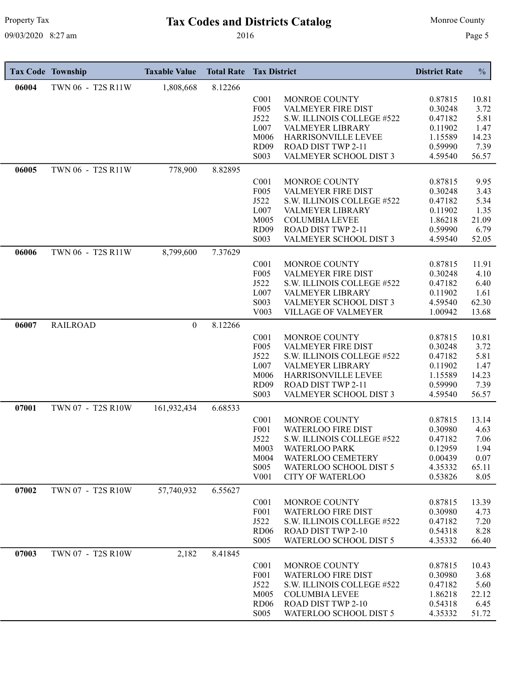# Property Tax **Tax Codes and Districts Catalog** Monroe County

|       | <b>Tax Code Township</b> | <b>Taxable Value</b> | <b>Total Rate</b> | <b>Tax District</b>      |                                                         | <b>District Rate</b> | $\frac{0}{0}$  |
|-------|--------------------------|----------------------|-------------------|--------------------------|---------------------------------------------------------|----------------------|----------------|
| 06004 | TWN 06 - T2S R11W        | 1,808,668            | 8.12266           |                          |                                                         |                      |                |
|       |                          |                      |                   | C <sub>001</sub>         | MONROE COUNTY                                           | 0.87815              | 10.81          |
|       |                          |                      |                   | F005                     | <b>VALMEYER FIRE DIST</b>                               | 0.30248              | 3.72           |
|       |                          |                      |                   | J522<br>L007             | S.W. ILLINOIS COLLEGE #522<br>VALMEYER LIBRARY          | 0.47182<br>0.11902   | 5.81<br>1.47   |
|       |                          |                      |                   | M006                     | HARRISONVILLE LEVEE                                     | 1.15589              | 14.23          |
|       |                          |                      |                   | <b>RD09</b>              | ROAD DIST TWP 2-11                                      | 0.59990              | 7.39           |
|       |                          |                      |                   | S003                     | VALMEYER SCHOOL DIST 3                                  | 4.59540              | 56.57          |
| 06005 | TWN 06 - T2S R11W        | 778,900              | 8.82895           |                          |                                                         |                      |                |
|       |                          |                      |                   | C <sub>001</sub>         | MONROE COUNTY                                           | 0.87815              | 9.95           |
|       |                          |                      |                   | F005                     | <b>VALMEYER FIRE DIST</b>                               | 0.30248              | 3.43           |
|       |                          |                      |                   | J522                     | S.W. ILLINOIS COLLEGE #522                              | 0.47182              | 5.34           |
|       |                          |                      |                   | L007<br>M005             | VALMEYER LIBRARY<br><b>COLUMBIA LEVEE</b>               | 0.11902<br>1.86218   | 1.35<br>21.09  |
|       |                          |                      |                   | <b>RD09</b>              | ROAD DIST TWP 2-11                                      | 0.59990              | 6.79           |
|       |                          |                      |                   | S003                     | VALMEYER SCHOOL DIST 3                                  | 4.59540              | 52.05          |
| 06006 | TWN 06 - T2S R11W        | 8,799,600            | 7.37629           |                          |                                                         |                      |                |
|       |                          |                      |                   | C <sub>001</sub>         | MONROE COUNTY                                           | 0.87815              | 11.91          |
|       |                          |                      |                   | F005                     | VALMEYER FIRE DIST                                      | 0.30248              | 4.10           |
|       |                          |                      |                   | J522                     | S.W. ILLINOIS COLLEGE #522                              | 0.47182              | 6.40           |
|       |                          |                      |                   | L007                     | <b>VALMEYER LIBRARY</b>                                 | 0.11902              | 1.61           |
|       |                          |                      |                   | S003<br>V003             | VALMEYER SCHOOL DIST 3<br>VILLAGE OF VALMEYER           | 4.59540<br>1.00942   | 62.30<br>13.68 |
|       |                          |                      |                   |                          |                                                         |                      |                |
| 06007 | <b>RAILROAD</b>          | $\mathbf{0}$         | 8.12266           |                          |                                                         |                      |                |
|       |                          |                      |                   | C <sub>001</sub><br>F005 | MONROE COUNTY                                           | 0.87815              | 10.81          |
|       |                          |                      |                   | J522                     | VALMEYER FIRE DIST<br>S.W. ILLINOIS COLLEGE #522        | 0.30248<br>0.47182   | 3.72<br>5.81   |
|       |                          |                      |                   | L007                     | VALMEYER LIBRARY                                        | 0.11902              | 1.47           |
|       |                          |                      |                   | M006                     | HARRISONVILLE LEVEE                                     | 1.15589              | 14.23          |
|       |                          |                      |                   | <b>RD09</b>              | ROAD DIST TWP 2-11                                      | 0.59990              | 7.39           |
|       |                          |                      |                   | S003                     | VALMEYER SCHOOL DIST 3                                  | 4.59540              | 56.57          |
| 07001 | TWN 07 - T2S R10W        | 161,932,434          | 6.68533           |                          |                                                         |                      |                |
|       |                          |                      |                   | C <sub>001</sub>         | MONROE COUNTY                                           | 0.87815              | 13.14          |
|       |                          |                      |                   | F001<br>J522             | <b>WATERLOO FIRE DIST</b><br>S.W. ILLINOIS COLLEGE #522 | 0.30980              | 4.63           |
|       |                          |                      |                   | M003                     | WATERLOO PARK                                           | 0.47182<br>0.12959   | 7.06<br>1.94   |
|       |                          |                      |                   | M004                     | <b>WATERLOO CEMETERY</b>                                | 0.00439              | 0.07           |
|       |                          |                      |                   | S005                     | WATERLOO SCHOOL DIST 5                                  | 4.35332              | 65.11          |
|       |                          |                      |                   | V001                     | <b>CITY OF WATERLOO</b>                                 | 0.53826              | 8.05           |
| 07002 | TWN 07 - T2S R10W        | 57,740,932           | 6.55627           |                          |                                                         |                      |                |
|       |                          |                      |                   | C <sub>001</sub>         | MONROE COUNTY                                           | 0.87815              | 13.39          |
|       |                          |                      |                   | F001                     | <b>WATERLOO FIRE DIST</b>                               | 0.30980              | 4.73           |
|       |                          |                      |                   | J522<br><b>RD06</b>      | S.W. ILLINOIS COLLEGE #522<br><b>ROAD DIST TWP 2-10</b> | 0.47182<br>0.54318   | 7.20           |
|       |                          |                      |                   | S005                     | WATERLOO SCHOOL DIST 5                                  | 4.35332              | 8.28<br>66.40  |
| 07003 | TWN 07 - T2S R10W        | 2,182                | 8.41845           |                          |                                                         |                      |                |
|       |                          |                      |                   | C <sub>001</sub>         | MONROE COUNTY                                           | 0.87815              | 10.43          |
|       |                          |                      |                   | F001                     | <b>WATERLOO FIRE DIST</b>                               | 0.30980              | 3.68           |
|       |                          |                      |                   | J522                     | S.W. ILLINOIS COLLEGE #522                              | 0.47182              | 5.60           |
|       |                          |                      |                   | M005                     | <b>COLUMBIA LEVEE</b>                                   | 1.86218              | 22.12          |
|       |                          |                      |                   | <b>RD06</b>              | ROAD DIST TWP 2-10                                      | 0.54318              | 6.45           |
|       |                          |                      |                   | S <sub>0</sub> 05        | WATERLOO SCHOOL DIST 5                                  | 4.35332              | 51.72          |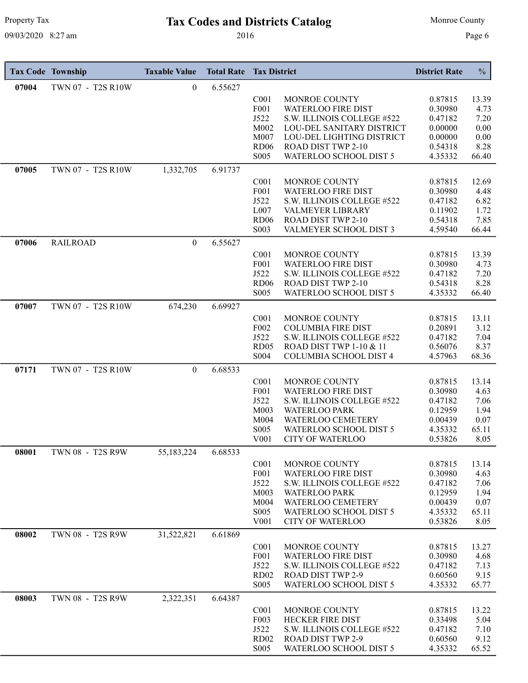# Property Tax **Tax Codes and Districts Catalog** Monroe County

|       | <b>Tax Code Township</b> | <b>Taxable Value</b> | <b>Total Rate</b> | <b>Tax District</b>      |                                                        | <b>District Rate</b> | $\frac{0}{0}$ |
|-------|--------------------------|----------------------|-------------------|--------------------------|--------------------------------------------------------|----------------------|---------------|
| 07004 | TWN 07 - T2S R10W        | $\overline{0}$       | 6.55627           |                          |                                                        |                      |               |
|       |                          |                      |                   | C <sub>001</sub>         | MONROE COUNTY                                          | 0.87815              | 13.39         |
|       |                          |                      |                   | F <sub>001</sub>         | <b>WATERLOO FIRE DIST</b>                              | 0.30980              | 4.73          |
|       |                          |                      |                   | J522                     | S.W. ILLINOIS COLLEGE #522                             | 0.47182              | 7.20          |
|       |                          |                      |                   | M002<br>M007             | LOU-DEL SANITARY DISTRICT<br>LOU-DEL LIGHTING DISTRICT | 0.00000<br>0.00000   | 0.00<br>0.00  |
|       |                          |                      |                   | <b>RD06</b>              | ROAD DIST TWP 2-10                                     | 0.54318              | 8.28          |
|       |                          |                      |                   | S005                     | WATERLOO SCHOOL DIST 5                                 | 4.35332              | 66.40         |
| 07005 | TWN 07 - T2S R10W        | 1,332,705            | 6.91737           |                          |                                                        |                      |               |
|       |                          |                      |                   | C <sub>001</sub>         | MONROE COUNTY                                          | 0.87815              | 12.69         |
|       |                          |                      |                   | F001                     | <b>WATERLOO FIRE DIST</b>                              | 0.30980              | 4.48          |
|       |                          |                      |                   | J522<br>L007             | S.W. ILLINOIS COLLEGE #522                             | 0.47182              | 6.82          |
|       |                          |                      |                   | <b>RD06</b>              | <b>VALMEYER LIBRARY</b><br><b>ROAD DIST TWP 2-10</b>   | 0.11902<br>0.54318   | 1.72<br>7.85  |
|       |                          |                      |                   | S003                     | VALMEYER SCHOOL DIST 3                                 | 4.59540              | 66.44         |
| 07006 | <b>RAILROAD</b>          | $\mathbf{0}$         | 6.55627           |                          |                                                        |                      |               |
|       |                          |                      |                   | C <sub>001</sub>         | MONROE COUNTY                                          | 0.87815              | 13.39         |
|       |                          |                      |                   | F001                     | <b>WATERLOO FIRE DIST</b>                              | 0.30980              | 4.73          |
|       |                          |                      |                   | J522                     | S.W. ILLINOIS COLLEGE #522                             | 0.47182              | 7.20          |
|       |                          |                      |                   | <b>RD06</b>              | ROAD DIST TWP 2-10                                     | 0.54318              | 8.28          |
|       |                          |                      |                   | S005                     | WATERLOO SCHOOL DIST 5                                 | 4.35332              | 66.40         |
| 07007 | TWN 07 - T2S R10W        | 674,230              | 6.69927           |                          |                                                        |                      |               |
|       |                          |                      |                   | C <sub>001</sub><br>F002 | MONROE COUNTY<br><b>COLUMBIA FIRE DIST</b>             | 0.87815<br>0.20891   | 13.11<br>3.12 |
|       |                          |                      |                   | J522                     | S.W. ILLINOIS COLLEGE #522                             | 0.47182              | 7.04          |
|       |                          |                      |                   | RD05                     | <b>ROAD DIST TWP 1-10 &amp; 11</b>                     | 0.56076              | 8.37          |
|       |                          |                      |                   | S004                     | COLUMBIA SCHOOL DIST 4                                 | 4.57963              | 68.36         |
| 07171 | TWN 07 - T2S R10W        | $\Omega$             | 6.68533           |                          |                                                        |                      |               |
|       |                          |                      |                   | C <sub>001</sub>         | MONROE COUNTY                                          | 0.87815              | 13.14         |
|       |                          |                      |                   | F001                     | <b>WATERLOO FIRE DIST</b>                              | 0.30980              | 4.63          |
|       |                          |                      |                   | J522                     | S.W. ILLINOIS COLLEGE #522                             | 0.47182              | 7.06          |
|       |                          |                      |                   | M003<br>M004             | <b>WATERLOO PARK</b><br>WATERLOO CEMETERY              | 0.12959<br>0.00439   | 1.94<br>0.07  |
|       |                          |                      |                   | S005                     | WATERLOO SCHOOL DIST 5                                 | 4.35332              | 65.11         |
|       |                          |                      |                   | V001                     | <b>CITY OF WATERLOO</b>                                | 0.53826              | 8.05          |
| 08001 | TWN 08 - T2S R9W         | 55,183,224           | 6.68533           |                          |                                                        |                      |               |
|       |                          |                      |                   | C <sub>001</sub>         | MONROE COUNTY                                          | 0.87815              | 13.14         |
|       |                          |                      |                   | F001                     | WATERLOO FIRE DIST                                     | 0.30980              | 4.63          |
|       |                          |                      |                   | J522<br>M003             | S.W. ILLINOIS COLLEGE #522<br><b>WATERLOO PARK</b>     | 0.47182<br>0.12959   | 7.06          |
|       |                          |                      |                   | M004                     | WATERLOO CEMETERY                                      | 0.00439              | 1.94<br>0.07  |
|       |                          |                      |                   | S <sub>0</sub> 05        | WATERLOO SCHOOL DIST 5                                 | 4.35332              | 65.11         |
|       |                          |                      |                   | V001                     | <b>CITY OF WATERLOO</b>                                | 0.53826              | 8.05          |
| 08002 | TWN 08 - T2S R9W         | 31,522,821           | 6.61869           |                          |                                                        |                      |               |
|       |                          |                      |                   | C <sub>001</sub>         | MONROE COUNTY                                          | 0.87815              | 13.27         |
|       |                          |                      |                   | F001                     | <b>WATERLOO FIRE DIST</b>                              | 0.30980              | 4.68          |
|       |                          |                      |                   | J522<br><b>RD02</b>      | S.W. ILLINOIS COLLEGE #522<br><b>ROAD DIST TWP 2-9</b> | 0.47182<br>0.60560   | 7.13<br>9.15  |
|       |                          |                      |                   | S005                     | WATERLOO SCHOOL DIST 5                                 | 4.35332              | 65.77         |
| 08003 | TWN 08 - T2S R9W         | 2,322,351            | 6.64387           |                          |                                                        |                      |               |
|       |                          |                      |                   | C <sub>001</sub>         | MONROE COUNTY                                          | 0.87815              | 13.22         |
|       |                          |                      |                   | F003                     | <b>HECKER FIRE DIST</b>                                | 0.33498              | 5.04          |
|       |                          |                      |                   | J522                     | S.W. ILLINOIS COLLEGE #522                             | 0.47182              | 7.10          |
|       |                          |                      |                   | <b>RD02</b>              | <b>ROAD DIST TWP 2-9</b>                               | 0.60560              | 9.12          |
|       |                          |                      |                   | S005                     | WATERLOO SCHOOL DIST 5                                 | 4.35332              | 65.52         |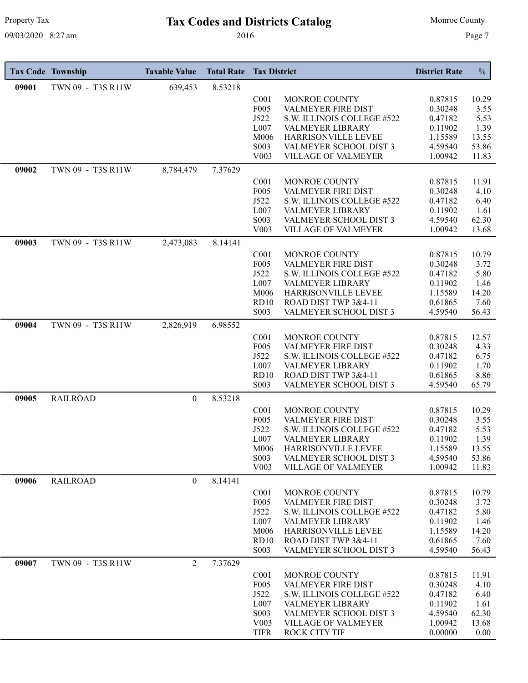# Property Tax **Tax Codes and Districts Catalog** Monroe County

|       | <b>Tax Code Township</b> | <b>Taxable Value</b> | <b>Total Rate</b> | <b>Tax District</b> |                            | <b>District Rate</b> | $\frac{0}{0}$ |
|-------|--------------------------|----------------------|-------------------|---------------------|----------------------------|----------------------|---------------|
| 09001 | TWN 09 - T3S R11W        | 639,453              | 8.53218           |                     |                            |                      |               |
|       |                          |                      |                   | C <sub>001</sub>    | MONROE COUNTY              | 0.87815              | 10.29         |
|       |                          |                      |                   | F005                | <b>VALMEYER FIRE DIST</b>  | 0.30248              | 3.55          |
|       |                          |                      |                   | J522                | S.W. ILLINOIS COLLEGE #522 | 0.47182              | 5.53          |
|       |                          |                      |                   | L007                | VALMEYER LIBRARY           | 0.11902              | 1.39          |
|       |                          |                      |                   | M006                | HARRISONVILLE LEVEE        | 1.15589              | 13.55         |
|       |                          |                      |                   | S003                | VALMEYER SCHOOL DIST 3     | 4.59540              | 53.86         |
|       |                          |                      |                   | V003                | VILLAGE OF VALMEYER        | 1.00942              | 11.83         |
| 09002 | TWN 09 - T3S R11W        | 8,784,479            | 7.37629           |                     |                            |                      |               |
|       |                          |                      |                   | C <sub>001</sub>    | MONROE COUNTY              | 0.87815              | 11.91         |
|       |                          |                      |                   | F005                | VALMEYER FIRE DIST         | 0.30248              | 4.10          |
|       |                          |                      |                   | J522                | S.W. ILLINOIS COLLEGE #522 | 0.47182              | 6.40          |
|       |                          |                      |                   | L007                | <b>VALMEYER LIBRARY</b>    | 0.11902              | 1.61          |
|       |                          |                      |                   | S003                | VALMEYER SCHOOL DIST 3     | 4.59540              | 62.30         |
|       |                          |                      |                   | V <sub>0</sub> 03   | <b>VILLAGE OF VALMEYER</b> | 1.00942              | 13.68         |
| 09003 | TWN 09 - T3S R11W        | 2,473,083            | 8.14141           |                     |                            |                      |               |
|       |                          |                      |                   | C <sub>001</sub>    | MONROE COUNTY              | 0.87815              | 10.79         |
|       |                          |                      |                   | F005                | VALMEYER FIRE DIST         | 0.30248              | 3.72          |
|       |                          |                      |                   | J522                | S.W. ILLINOIS COLLEGE #522 | 0.47182              | 5.80          |
|       |                          |                      |                   | L007                | VALMEYER LIBRARY           | 0.11902              | 1.46          |
|       |                          |                      |                   | M006                | HARRISONVILLE LEVEE        | 1.15589              | 14.20         |
|       |                          |                      |                   | RD10                | ROAD DIST TWP 3&4-11       | 0.61865              | 7.60          |
|       |                          |                      |                   | S003                | VALMEYER SCHOOL DIST 3     | 4.59540              | 56.43         |
| 09004 | TWN 09 - T3S R11W        | 2,826,919            | 6.98552           |                     |                            |                      |               |
|       |                          |                      |                   | C <sub>001</sub>    | MONROE COUNTY              | 0.87815              | 12.57         |
|       |                          |                      |                   | F005                | VALMEYER FIRE DIST         | 0.30248              | 4.33          |
|       |                          |                      |                   | J522                | S.W. ILLINOIS COLLEGE #522 | 0.47182              | 6.75          |
|       |                          |                      |                   | L007                | VALMEYER LIBRARY           | 0.11902              | 1.70          |
|       |                          |                      |                   | <b>RD10</b>         | ROAD DIST TWP 3&4-11       | 0.61865              | 8.86          |
|       |                          |                      |                   | S003                | VALMEYER SCHOOL DIST 3     | 4.59540              | 65.79         |
| 09005 | <b>RAILROAD</b>          | $\boldsymbol{0}$     | 8.53218           |                     |                            |                      |               |
|       |                          |                      |                   | C <sub>001</sub>    | MONROE COUNTY              | 0.87815              | 10.29         |
|       |                          |                      |                   | F005                | VALMEYER FIRE DIST         | 0.30248              | 3.55          |
|       |                          |                      |                   | J522                | S.W. ILLINOIS COLLEGE #522 | 0.47182              | 5.53          |
|       |                          |                      |                   | L007                | <b>VALMEYER LIBRARY</b>    | 0.11902              | 1.39          |
|       |                          |                      |                   | M006                | <b>HARRISONVILLE LEVEE</b> | 1.15589              | 13.55         |
|       |                          |                      |                   | S003                | VALMEYER SCHOOL DIST 3     | 4.59540              | 53.86         |
|       |                          |                      |                   | V <sub>0</sub> 03   | <b>VILLAGE OF VALMEYER</b> | 1.00942              | 11.83         |
| 09006 | <b>RAILROAD</b>          | $\overline{0}$       | 8.14141           |                     |                            |                      |               |
|       |                          |                      |                   | C <sub>001</sub>    | MONROE COUNTY              | 0.87815              | 10.79         |
|       |                          |                      |                   | F <sub>005</sub>    | VALMEYER FIRE DIST         | 0.30248              | 3.72          |
|       |                          |                      |                   | J522                | S.W. ILLINOIS COLLEGE #522 | 0.47182              | 5.80          |
|       |                          |                      |                   | L007                | VALMEYER LIBRARY           | 0.11902              | 1.46          |
|       |                          |                      |                   | M006                | HARRISONVILLE LEVEE        | 1.15589              | 14.20         |
|       |                          |                      |                   | RD10                | ROAD DIST TWP 3&4-11       | 0.61865              | 7.60          |
|       |                          |                      |                   | S <sub>0</sub> 03   | VALMEYER SCHOOL DIST 3     | 4.59540              | 56.43         |
| 09007 | TWN 09 - T3S R11W        | $\overline{2}$       | 7.37629           |                     |                            |                      |               |
|       |                          |                      |                   | C <sub>001</sub>    | MONROE COUNTY              | 0.87815              | 11.91         |
|       |                          |                      |                   | F005                | VALMEYER FIRE DIST         | 0.30248              | 4.10          |
|       |                          |                      |                   | J522                | S.W. ILLINOIS COLLEGE #522 | 0.47182              | 6.40          |
|       |                          |                      |                   | L007                | VALMEYER LIBRARY           | 0.11902              | 1.61          |
|       |                          |                      |                   | S <sub>00</sub> 3   | VALMEYER SCHOOL DIST 3     | 4.59540              | 62.30         |
|       |                          |                      |                   | V <sub>0</sub> 03   | <b>VILLAGE OF VALMEYER</b> | 1.00942              | 13.68         |
|       |                          |                      |                   | <b>TIFR</b>         | <b>ROCK CITY TIF</b>       | 0.00000              | 0.00          |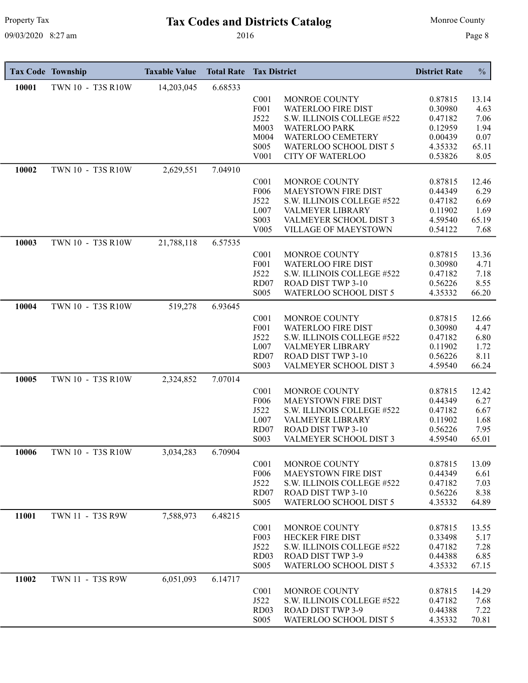# Property Tax **Tax Codes and Districts Catalog** Monroe County

|       | <b>Tax Code Township</b> | <b>Taxable Value</b> | <b>Total Rate</b> | <b>Tax District</b>      |                                                       | <b>District Rate</b> | $\frac{0}{0}$ |
|-------|--------------------------|----------------------|-------------------|--------------------------|-------------------------------------------------------|----------------------|---------------|
| 10001 | TWN 10 - T3S R10W        | 14,203,045           | 6.68533           |                          |                                                       |                      |               |
|       |                          |                      |                   | C <sub>001</sub>         | MONROE COUNTY                                         | 0.87815              | 13.14         |
|       |                          |                      |                   | F001                     | <b>WATERLOO FIRE DIST</b>                             | 0.30980              | 4.63          |
|       |                          |                      |                   | J522<br>M003             | S.W. ILLINOIS COLLEGE #522                            | 0.47182              | 7.06          |
|       |                          |                      |                   | M004                     | <b>WATERLOO PARK</b><br>WATERLOO CEMETERY             | 0.12959<br>0.00439   | 1.94<br>0.07  |
|       |                          |                      |                   | S005                     | WATERLOO SCHOOL DIST 5                                | 4.35332              | 65.11         |
|       |                          |                      |                   | V001                     | <b>CITY OF WATERLOO</b>                               | 0.53826              | 8.05          |
| 10002 | TWN 10 - T3S R10W        | 2,629,551            | 7.04910           |                          |                                                       |                      |               |
|       |                          |                      |                   | C <sub>001</sub>         | MONROE COUNTY                                         | 0.87815              | 12.46         |
|       |                          |                      |                   | F006                     | <b>MAEYSTOWN FIRE DIST</b>                            | 0.44349              | 6.29          |
|       |                          |                      |                   | J522                     | S.W. ILLINOIS COLLEGE #522                            | 0.47182              | 6.69          |
|       |                          |                      |                   | L007                     | VALMEYER LIBRARY                                      | 0.11902              | 1.69          |
|       |                          |                      |                   | S003<br>V005             | VALMEYER SCHOOL DIST 3<br><b>VILLAGE OF MAEYSTOWN</b> | 4.59540<br>0.54122   | 65.19<br>7.68 |
| 10003 | TWN 10 - T3S R10W        | 21,788,118           | 6.57535           |                          |                                                       |                      |               |
|       |                          |                      |                   | C <sub>001</sub>         | MONROE COUNTY                                         | 0.87815              | 13.36         |
|       |                          |                      |                   | F001                     | <b>WATERLOO FIRE DIST</b>                             | 0.30980              | 4.71          |
|       |                          |                      |                   | J522                     | S.W. ILLINOIS COLLEGE #522                            | 0.47182              | 7.18          |
|       |                          |                      |                   | RD07                     | ROAD DIST TWP 3-10                                    | 0.56226              | 8.55          |
|       |                          |                      |                   | S005                     | WATERLOO SCHOOL DIST 5                                | 4.35332              | 66.20         |
| 10004 | TWN 10 - T3S R10W        | 519,278              | 6.93645           |                          |                                                       |                      |               |
|       |                          |                      |                   | C <sub>001</sub>         | MONROE COUNTY                                         | 0.87815              | 12.66         |
|       |                          |                      |                   | F001                     | <b>WATERLOO FIRE DIST</b>                             | 0.30980              | 4.47          |
|       |                          |                      |                   | J522<br>L007             | S.W. ILLINOIS COLLEGE #522<br>VALMEYER LIBRARY        | 0.47182<br>0.11902   | 6.80<br>1.72  |
|       |                          |                      |                   | RD07                     | ROAD DIST TWP 3-10                                    | 0.56226              | 8.11          |
|       |                          |                      |                   | S003                     | VALMEYER SCHOOL DIST 3                                | 4.59540              | 66.24         |
| 10005 | TWN 10 - T3S R10W        | 2,324,852            | 7.07014           |                          |                                                       |                      |               |
|       |                          |                      |                   | C <sub>001</sub>         | MONROE COUNTY                                         | 0.87815              | 12.42         |
|       |                          |                      |                   | F006                     | MAEYSTOWN FIRE DIST                                   | 0.44349              | 6.27          |
|       |                          |                      |                   | J522                     | S.W. ILLINOIS COLLEGE #522                            | 0.47182              | 6.67          |
|       |                          |                      |                   | L007                     | <b>VALMEYER LIBRARY</b>                               | 0.11902              | 1.68          |
|       |                          |                      |                   | RD07<br>S003             | <b>ROAD DIST TWP 3-10</b><br>VALMEYER SCHOOL DIST 3   | 0.56226              | 7.95<br>65.01 |
|       |                          |                      |                   |                          |                                                       | 4.59540              |               |
| 10006 | TWN 10 - T3S R10W        | 3,034,283            | 6.70904           | C <sub>001</sub>         | MONROE COUNTY                                         | 0.87815              | 13.09         |
|       |                          |                      |                   | F006                     | <b>MAEYSTOWN FIRE DIST</b>                            | 0.44349              | 6.61          |
|       |                          |                      |                   | J522                     | S.W. ILLINOIS COLLEGE #522                            | 0.47182              | 7.03          |
|       |                          |                      |                   | RD07                     | ROAD DIST TWP 3-10                                    | 0.56226              | 8.38          |
|       |                          |                      |                   | S005                     | WATERLOO SCHOOL DIST 5                                | 4.35332              | 64.89         |
| 11001 | TWN 11 - T3S R9W         | 7,588,973            | 6.48215           |                          |                                                       |                      |               |
|       |                          |                      |                   | C <sub>001</sub>         | MONROE COUNTY                                         | 0.87815              | 13.55         |
|       |                          |                      |                   | F003                     | <b>HECKER FIRE DIST</b>                               | 0.33498              | 5.17          |
|       |                          |                      |                   | J522<br>RD <sub>03</sub> | S.W. ILLINOIS COLLEGE #522<br>ROAD DIST TWP 3-9       | 0.47182<br>0.44388   | 7.28<br>6.85  |
|       |                          |                      |                   | S005                     | WATERLOO SCHOOL DIST 5                                | 4.35332              | 67.15         |
| 11002 | TWN 11 - T3S R9W         | 6,051,093            | 6.14717           |                          |                                                       |                      |               |
|       |                          |                      |                   | C <sub>001</sub>         | MONROE COUNTY                                         | 0.87815              | 14.29         |
|       |                          |                      |                   | J522                     | S.W. ILLINOIS COLLEGE #522                            | 0.47182              | 7.68          |
|       |                          |                      |                   | RD <sub>03</sub>         | <b>ROAD DIST TWP 3-9</b>                              | 0.44388              | 7.22          |
|       |                          |                      |                   | S005                     | WATERLOO SCHOOL DIST 5                                | 4.35332              | 70.81         |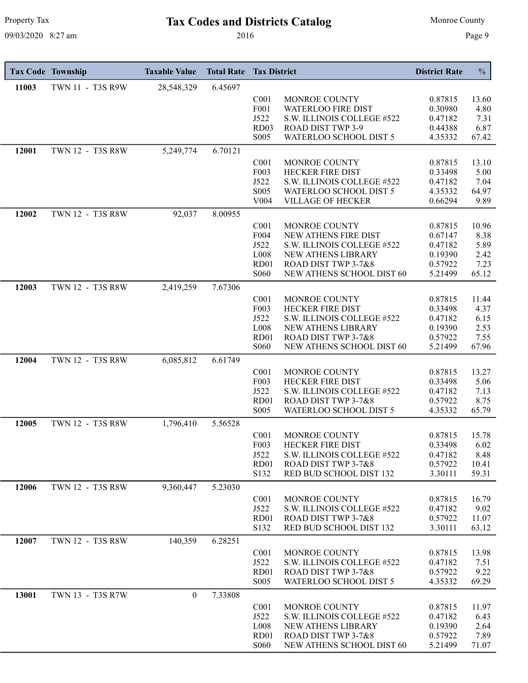# Property Tax **Tax Codes and Districts Catalog** Monroe County

|       | <b>Tax Code Township</b> | <b>Taxable Value</b> | <b>Total Rate</b> | <b>Tax District</b>                  |                                                       | <b>District Rate</b> | $\frac{0}{0}$  |
|-------|--------------------------|----------------------|-------------------|--------------------------------------|-------------------------------------------------------|----------------------|----------------|
| 11003 | TWN 11 - T3S R9W         | 28,548,329           | 6.45697           |                                      |                                                       |                      |                |
|       |                          |                      |                   | C <sub>001</sub>                     | MONROE COUNTY                                         | 0.87815              | 13.60          |
|       |                          |                      |                   | F001                                 | WATERLOO FIRE DIST                                    | 0.30980              | 4.80           |
|       |                          |                      |                   | J522                                 | S.W. ILLINOIS COLLEGE #522                            | 0.47182              | 7.31           |
|       |                          |                      |                   | RD <sub>03</sub><br>S005             | ROAD DIST TWP 3-9<br>WATERLOO SCHOOL DIST 5           | 0.44388<br>4.35332   | 6.87<br>67.42  |
| 12001 | TWN 12 - T3S R8W         | 5,249,774            | 6.70121           |                                      |                                                       |                      |                |
|       |                          |                      |                   |                                      |                                                       |                      |                |
|       |                          |                      |                   | C <sub>001</sub><br>F003             | MONROE COUNTY<br><b>HECKER FIRE DIST</b>              | 0.87815<br>0.33498   | 13.10<br>5.00  |
|       |                          |                      |                   | J522                                 | S.W. ILLINOIS COLLEGE #522                            | 0.47182              | 7.04           |
|       |                          |                      |                   | S005                                 | WATERLOO SCHOOL DIST 5                                | 4.35332              | 64.97          |
|       |                          |                      |                   | V <sub>004</sub>                     | <b>VILLAGE OF HECKER</b>                              | 0.66294              | 9.89           |
| 12002 | TWN 12 - T3S R8W         | 92,037               | 8.00955           |                                      |                                                       |                      |                |
|       |                          |                      |                   | C <sub>001</sub>                     | MONROE COUNTY                                         | 0.87815              | 10.96          |
|       |                          |                      |                   | F004                                 | NEW ATHENS FIRE DIST                                  | 0.67147              | 8.38           |
|       |                          |                      |                   | J522                                 | S.W. ILLINOIS COLLEGE #522                            | 0.47182              | 5.89           |
|       |                          |                      |                   | L008<br>RD01                         | NEW ATHENS LIBRARY<br>ROAD DIST TWP 3-7&8             | 0.19390<br>0.57922   | 2.42<br>7.23   |
|       |                          |                      |                   | S <sub>06</sub> 0                    | NEW ATHENS SCHOOL DIST 60                             | 5.21499              | 65.12          |
| 12003 | TWN 12 - T3S R8W         | 2,419,259            | 7.67306           |                                      |                                                       |                      |                |
|       |                          |                      |                   | C <sub>001</sub>                     | MONROE COUNTY                                         | 0.87815              | 11.44          |
|       |                          |                      |                   | F003                                 | <b>HECKER FIRE DIST</b>                               | 0.33498              | 4.37           |
|       |                          |                      |                   | J522                                 | S.W. ILLINOIS COLLEGE #522                            | 0.47182              | 6.15           |
|       |                          |                      |                   | L008                                 | NEW ATHENS LIBRARY                                    | 0.19390              | 2.53           |
|       |                          |                      |                   | RD01<br>S <sub>06</sub> 0            | ROAD DIST TWP 3-7&8<br>NEW ATHENS SCHOOL DIST 60      | 0.57922<br>5.21499   | 7.55           |
|       |                          |                      |                   |                                      |                                                       |                      | 67.96          |
| 12004 | TWN 12 - T3S R8W         | 6,085,812            | 6.61749           |                                      |                                                       |                      |                |
|       |                          |                      |                   | C <sub>001</sub>                     | MONROE COUNTY                                         | 0.87815              | 13.27          |
|       |                          |                      |                   | F003<br>J522                         | <b>HECKER FIRE DIST</b><br>S.W. ILLINOIS COLLEGE #522 | 0.33498<br>0.47182   | 5.06<br>7.13   |
|       |                          |                      |                   | RD01                                 | ROAD DIST TWP 3-7&8                                   | 0.57922              | 8.75           |
|       |                          |                      |                   | S <sub>0</sub> 05                    | WATERLOO SCHOOL DIST 5                                | 4.35332              | 65.79          |
| 12005 | TWN 12 - T3S R8W         | 1,796,410            | 5.56528           |                                      |                                                       |                      |                |
|       |                          |                      |                   | C <sub>001</sub>                     | MONROE COUNTY                                         | 0.87815              | 15.78          |
|       |                          |                      |                   | F003                                 | HECKER FIRE DIST                                      | 0.33498              | 6.02           |
|       |                          |                      |                   | J522                                 | S.W. ILLINOIS COLLEGE #522                            | 0.47182              | 8.48           |
|       |                          |                      |                   | RD01<br>S132                         | ROAD DIST TWP 3-7&8<br>RED BUD SCHOOL DIST 132        | 0.57922<br>3.30111   | 10.41<br>59.31 |
|       |                          |                      |                   |                                      |                                                       |                      |                |
| 12006 | TWN 12 - T3S R8W         | 9,360,447            | 5.23030           |                                      |                                                       |                      |                |
|       |                          |                      |                   | C <sub>001</sub><br>J522             | MONROE COUNTY<br>S.W. ILLINOIS COLLEGE #522           | 0.87815<br>0.47182   | 16.79<br>9.02  |
|       |                          |                      |                   | RD01                                 | ROAD DIST TWP 3-7&8                                   | 0.57922              | 11.07          |
|       |                          |                      |                   | S132                                 | RED BUD SCHOOL DIST 132                               | 3.30111              | 63.12          |
| 12007 | TWN 12 - T3S R8W         | 140,359              | 6.28251           |                                      |                                                       |                      |                |
|       |                          |                      |                   | C <sub>001</sub>                     | MONROE COUNTY                                         | 0.87815              | 13.98          |
|       |                          |                      |                   | J522                                 | S.W. ILLINOIS COLLEGE #522                            | 0.47182              | 7.51           |
|       |                          |                      |                   | RD <sub>01</sub>                     | ROAD DIST TWP 3-7&8                                   | 0.57922              | 9.22           |
|       |                          |                      |                   | S <sub>0</sub> 05                    | WATERLOO SCHOOL DIST 5                                | 4.35332              | 69.29          |
| 13001 | TWN 13 - T3S R7W         | $\theta$             | 7.33808           |                                      |                                                       |                      |                |
|       |                          |                      |                   | C <sub>001</sub>                     | MONROE COUNTY                                         | 0.87815              | 11.97          |
|       |                          |                      |                   | J522                                 | S.W. ILLINOIS COLLEGE #522<br>NEW ATHENS LIBRARY      | 0.47182              | 6.43           |
|       |                          |                      |                   | L <sub>008</sub><br>RD <sub>01</sub> | ROAD DIST TWP 3-7&8                                   | 0.19390<br>0.57922   | 2.64<br>7.89   |
|       |                          |                      |                   | <b>S060</b>                          | NEW ATHENS SCHOOL DIST 60                             | 5.21499              | 71.07          |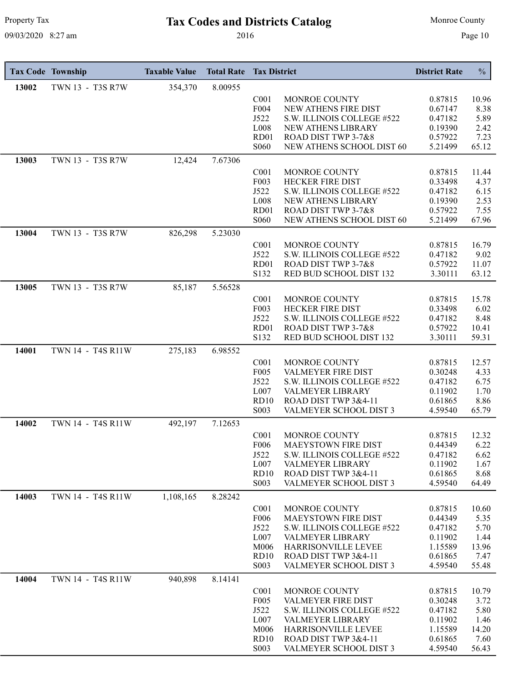# Property Tax **Tax Codes and Districts Catalog** Monroe County

|       | <b>Tax Code Township</b> | <b>Taxable Value</b> | <b>Total Rate</b> | <b>Tax District</b>              |                                                  | <b>District Rate</b> | $\frac{0}{0}$ |
|-------|--------------------------|----------------------|-------------------|----------------------------------|--------------------------------------------------|----------------------|---------------|
| 13002 | TWN 13 - T3S R7W         | 354,370              | 8.00955           |                                  |                                                  |                      |               |
|       |                          |                      |                   | C <sub>001</sub>                 | MONROE COUNTY                                    | 0.87815              | 10.96         |
|       |                          |                      |                   | F004                             | NEW ATHENS FIRE DIST                             | 0.67147              | 8.38          |
|       |                          |                      |                   | J522<br>L008                     | S.W. ILLINOIS COLLEGE #522<br>NEW ATHENS LIBRARY | 0.47182<br>0.19390   | 5.89<br>2.42  |
|       |                          |                      |                   | RD01                             | ROAD DIST TWP 3-7&8                              | 0.57922              | 7.23          |
|       |                          |                      |                   | S <sub>06</sub> 0                | NEW ATHENS SCHOOL DIST 60                        | 5.21499              | 65.12         |
| 13003 | TWN 13 - T3S R7W         | 12,424               | 7.67306           |                                  |                                                  |                      |               |
|       |                          |                      |                   | C <sub>001</sub>                 | MONROE COUNTY                                    | 0.87815              | 11.44         |
|       |                          |                      |                   | F003                             | <b>HECKER FIRE DIST</b>                          | 0.33498              | 4.37          |
|       |                          |                      |                   | J522                             | S.W. ILLINOIS COLLEGE #522                       | 0.47182              | 6.15          |
|       |                          |                      |                   | L008                             | NEW ATHENS LIBRARY                               | 0.19390              | 2.53          |
|       |                          |                      |                   | RD01<br>S <sub>06</sub> 0        | ROAD DIST TWP 3-7&8<br>NEW ATHENS SCHOOL DIST 60 | 0.57922<br>5.21499   | 7.55<br>67.96 |
|       |                          |                      |                   |                                  |                                                  |                      |               |
| 13004 | TWN 13 - T3S R7W         | 826,298              | 5.23030           |                                  |                                                  |                      |               |
|       |                          |                      |                   | C <sub>001</sub><br>J522         | MONROE COUNTY<br>S.W. ILLINOIS COLLEGE #522      | 0.87815<br>0.47182   | 16.79<br>9.02 |
|       |                          |                      |                   | RD01                             | ROAD DIST TWP 3-7&8                              | 0.57922              | 11.07         |
|       |                          |                      |                   | S132                             | RED BUD SCHOOL DIST 132                          | 3.30111              | 63.12         |
| 13005 | TWN 13 - T3S R7W         | 85,187               | 5.56528           |                                  |                                                  |                      |               |
|       |                          |                      |                   | C <sub>001</sub>                 | MONROE COUNTY                                    | 0.87815              | 15.78         |
|       |                          |                      |                   | F003                             | <b>HECKER FIRE DIST</b>                          | 0.33498              | 6.02          |
|       |                          |                      |                   | J522                             | S.W. ILLINOIS COLLEGE #522                       | 0.47182              | 8.48          |
|       |                          |                      |                   | RD01                             | ROAD DIST TWP 3-7&8                              | 0.57922              | 10.41         |
|       |                          |                      |                   | S132                             | RED BUD SCHOOL DIST 132                          | 3.30111              | 59.31         |
| 14001 | TWN 14 - T4S R11W        | 275,183              | 6.98552           |                                  |                                                  |                      |               |
|       |                          |                      |                   | C <sub>001</sub>                 | MONROE COUNTY                                    | 0.87815              | 12.57         |
|       |                          |                      |                   | F005<br>J522                     | VALMEYER FIRE DIST                               | 0.30248<br>0.47182   | 4.33          |
|       |                          |                      |                   | L007                             | S.W. ILLINOIS COLLEGE #522<br>VALMEYER LIBRARY   | 0.11902              | 6.75<br>1.70  |
|       |                          |                      |                   | <b>RD10</b>                      | ROAD DIST TWP 3&4-11                             | 0.61865              | 8.86          |
|       |                          |                      |                   | S003                             | VALMEYER SCHOOL DIST 3                           | 4.59540              | 65.79         |
| 14002 | TWN 14 - T4S R11W        | 492,197              | 7.12653           |                                  |                                                  |                      |               |
|       |                          |                      |                   | C <sub>001</sub>                 | MONROE COUNTY                                    | 0.87815              | 12.32         |
|       |                          |                      |                   | F006                             | <b>MAEYSTOWN FIRE DIST</b>                       | 0.44349              | 6.22          |
|       |                          |                      |                   | J522                             | S.W. ILLINOIS COLLEGE #522                       | 0.47182              | 6.62          |
|       |                          |                      |                   | L007<br>RD10                     | VALMEYER LIBRARY<br>ROAD DIST TWP 3&4-11         | 0.11902<br>0.61865   | 1.67<br>8.68  |
|       |                          |                      |                   | S <sub>0</sub> 03                | VALMEYER SCHOOL DIST 3                           | 4.59540              | 64.49         |
| 14003 | TWN 14 - T4S R11W        | 1,108,165            | 8.28242           |                                  |                                                  |                      |               |
|       |                          |                      |                   | C <sub>001</sub>                 | MONROE COUNTY                                    | 0.87815              | 10.60         |
|       |                          |                      |                   | F <sub>006</sub>                 | MAEYSTOWN FIRE DIST                              | 0.44349              | 5.35          |
|       |                          |                      |                   | J522                             | S.W. ILLINOIS COLLEGE #522                       | 0.47182              | 5.70          |
|       |                          |                      |                   | L007                             | VALMEYER LIBRARY                                 | 0.11902              | 1.44          |
|       |                          |                      |                   | M006                             | <b>HARRISONVILLE LEVEE</b>                       | 1.15589              | 13.96         |
|       |                          |                      |                   | <b>RD10</b><br>S <sub>0</sub> 03 | ROAD DIST TWP 3&4-11<br>VALMEYER SCHOOL DIST 3   | 0.61865<br>4.59540   | 7.47<br>55.48 |
|       |                          |                      |                   |                                  |                                                  |                      |               |
| 14004 | TWN 14 - T4S R11W        | 940,898              | 8.14141           |                                  |                                                  |                      |               |
|       |                          |                      |                   | C <sub>001</sub><br>F005         | MONROE COUNTY<br>VALMEYER FIRE DIST              | 0.87815<br>0.30248   | 10.79<br>3.72 |
|       |                          |                      |                   | J522                             | S.W. ILLINOIS COLLEGE #522                       | 0.47182              | 5.80          |
|       |                          |                      |                   | L007                             | VALMEYER LIBRARY                                 | 0.11902              | 1.46          |
|       |                          |                      |                   | M006                             | HARRISONVILLE LEVEE                              | 1.15589              | 14.20         |
|       |                          |                      |                   | RD10                             | ROAD DIST TWP 3&4-11                             | 0.61865              | 7.60          |
|       |                          |                      |                   | S <sub>0</sub> 03                | VALMEYER SCHOOL DIST 3                           | 4.59540              | 56.43         |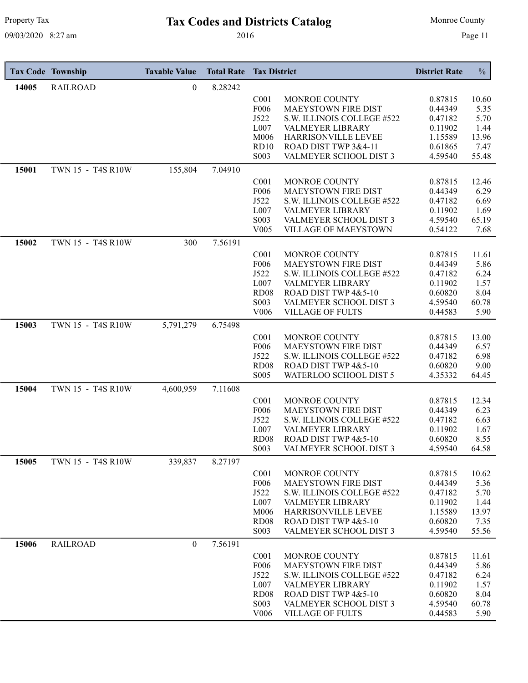# Property Tax **Tax Codes and Districts Catalog** Monroe County

|       | <b>Tax Code Township</b> | <b>Taxable Value</b> | <b>Total Rate</b> | <b>Tax District</b>      |                                                       | <b>District Rate</b> | $\frac{0}{0}$ |
|-------|--------------------------|----------------------|-------------------|--------------------------|-------------------------------------------------------|----------------------|---------------|
| 14005 | <b>RAILROAD</b>          | 0                    | 8.28242           |                          |                                                       |                      |               |
|       |                          |                      |                   | C <sub>001</sub>         | MONROE COUNTY                                         | 0.87815              | 10.60         |
|       |                          |                      |                   | F006                     | <b>MAEYSTOWN FIRE DIST</b>                            | 0.44349              | 5.35          |
|       |                          |                      |                   | J522                     | S.W. ILLINOIS COLLEGE #522                            | 0.47182              | 5.70          |
|       |                          |                      |                   | L007<br>M006             | VALMEYER LIBRARY<br>HARRISONVILLE LEVEE               | 0.11902<br>1.15589   | 1.44<br>13.96 |
|       |                          |                      |                   | RD10                     | ROAD DIST TWP 3&4-11                                  | 0.61865              | 7.47          |
|       |                          |                      |                   | S <sub>0</sub> 03        | VALMEYER SCHOOL DIST 3                                | 4.59540              | 55.48         |
| 15001 | TWN 15 - T4S R10W        | 155,804              | 7.04910           |                          |                                                       |                      |               |
|       |                          |                      |                   | C <sub>001</sub>         | MONROE COUNTY                                         | 0.87815              | 12.46         |
|       |                          |                      |                   | F006                     | <b>MAEYSTOWN FIRE DIST</b>                            | 0.44349              | 6.29          |
|       |                          |                      |                   | J522                     | S.W. ILLINOIS COLLEGE #522                            | 0.47182              | 6.69          |
|       |                          |                      |                   | L007                     | VALMEYER LIBRARY                                      | 0.11902              | 1.69          |
|       |                          |                      |                   | S003<br>V005             | VALMEYER SCHOOL DIST 3<br><b>VILLAGE OF MAEYSTOWN</b> | 4.59540<br>0.54122   | 65.19<br>7.68 |
| 15002 | TWN 15 - T4S R10W        | 300                  | 7.56191           |                          |                                                       |                      |               |
|       |                          |                      |                   | C <sub>001</sub>         | MONROE COUNTY                                         | 0.87815              | 11.61         |
|       |                          |                      |                   | F006                     | <b>MAEYSTOWN FIRE DIST</b>                            | 0.44349              | 5.86          |
|       |                          |                      |                   | J522                     | S.W. ILLINOIS COLLEGE #522                            | 0.47182              | 6.24          |
|       |                          |                      |                   | L007                     | <b>VALMEYER LIBRARY</b>                               | 0.11902              | 1.57          |
|       |                          |                      |                   | <b>RD08</b>              | ROAD DIST TWP 4&5-10                                  | 0.60820              | 8.04          |
|       |                          |                      |                   | S003<br>V <sub>006</sub> | VALMEYER SCHOOL DIST 3<br><b>VILLAGE OF FULTS</b>     | 4.59540<br>0.44583   | 60.78<br>5.90 |
|       |                          |                      |                   |                          |                                                       |                      |               |
| 15003 | TWN 15 - T4S R10W        | 5,791,279            | 6.75498           |                          |                                                       |                      |               |
|       |                          |                      |                   | C <sub>001</sub><br>F006 | MONROE COUNTY<br><b>MAEYSTOWN FIRE DIST</b>           | 0.87815<br>0.44349   | 13.00<br>6.57 |
|       |                          |                      |                   | J522                     | S.W. ILLINOIS COLLEGE #522                            | 0.47182              | 6.98          |
|       |                          |                      |                   | <b>RD08</b>              | ROAD DIST TWP 4&5-10                                  | 0.60820              | 9.00          |
|       |                          |                      |                   | S005                     | WATERLOO SCHOOL DIST 5                                | 4.35332              | 64.45         |
| 15004 | TWN 15 - T4S R10W        | 4,600,959            | 7.11608           |                          |                                                       |                      |               |
|       |                          |                      |                   | C <sub>001</sub>         | MONROE COUNTY                                         | 0.87815              | 12.34         |
|       |                          |                      |                   | F006                     | MAEYSTOWN FIRE DIST                                   | 0.44349              | 6.23          |
|       |                          |                      |                   | J522                     | S.W. ILLINOIS COLLEGE #522                            | 0.47182              | 6.63          |
|       |                          |                      |                   | L007<br>RD <sub>08</sub> | VALMEYER LIBRARY<br>ROAD DIST TWP 4&5-10              | 0.11902<br>0.60820   | 1.67<br>8.55  |
|       |                          |                      |                   | S003                     | VALMEYER SCHOOL DIST 3                                | 4.59540              | 64.58         |
| 15005 | TWN 15 - T4S R10W        | 339,837              | 8.27197           |                          |                                                       |                      |               |
|       |                          |                      |                   | C <sub>001</sub>         | MONROE COUNTY                                         | 0.87815              | 10.62         |
|       |                          |                      |                   | F006                     | MAEYSTOWN FIRE DIST                                   | 0.44349              | 5.36          |
|       |                          |                      |                   | J522                     | S.W. ILLINOIS COLLEGE #522                            | 0.47182              | 5.70          |
|       |                          |                      |                   | L007                     | VALMEYER LIBRARY                                      | 0.11902              | 1.44          |
|       |                          |                      |                   | M006                     | HARRISONVILLE LEVEE                                   | 1.15589              | 13.97         |
|       |                          |                      |                   | <b>RD08</b><br>S003      | ROAD DIST TWP 4&5-10<br>VALMEYER SCHOOL DIST 3        | 0.60820<br>4.59540   | 7.35<br>55.56 |
|       |                          |                      |                   |                          |                                                       |                      |               |
| 15006 | <b>RAILROAD</b>          | $\overline{0}$       | 7.56191           |                          |                                                       |                      |               |
|       |                          |                      |                   | C <sub>001</sub><br>F006 | MONROE COUNTY<br>MAEYSTOWN FIRE DIST                  | 0.87815<br>0.44349   | 11.61<br>5.86 |
|       |                          |                      |                   | J522                     | S.W. ILLINOIS COLLEGE #522                            | 0.47182              | 6.24          |
|       |                          |                      |                   | L007                     | VALMEYER LIBRARY                                      | 0.11902              | 1.57          |
|       |                          |                      |                   | <b>RD08</b>              | ROAD DIST TWP 4&5-10                                  | 0.60820              | 8.04          |
|       |                          |                      |                   | S003                     | VALMEYER SCHOOL DIST 3                                | 4.59540              | 60.78         |
|       |                          |                      |                   | V006                     | <b>VILLAGE OF FULTS</b>                               | 0.44583              | 5.90          |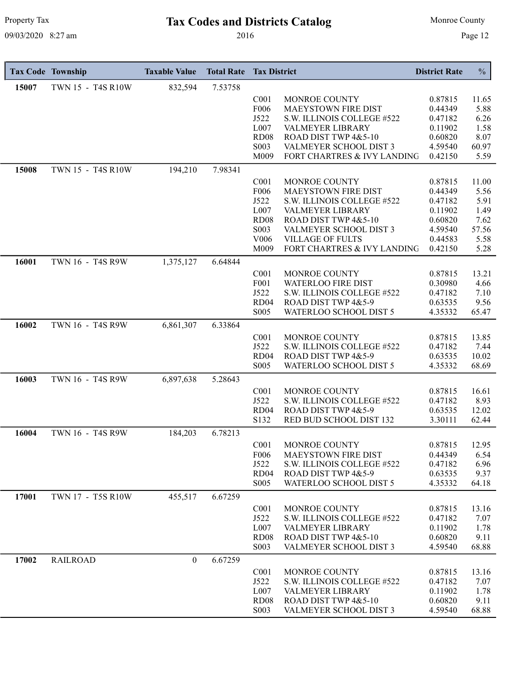# Property Tax **Tax Codes and Districts Catalog** Monroe County

|       | <b>Tax Code Township</b> | <b>Taxable Value</b> | <b>Total Rate</b> | <b>Tax District</b>                   |                                                        | <b>District Rate</b> | $\frac{0}{0}$ |
|-------|--------------------------|----------------------|-------------------|---------------------------------------|--------------------------------------------------------|----------------------|---------------|
| 15007 | TWN 15 - T4S R10W        | 832,594              | 7.53758           |                                       |                                                        |                      |               |
|       |                          |                      |                   | C <sub>001</sub>                      | MONROE COUNTY                                          | 0.87815              | 11.65         |
|       |                          |                      |                   | F006                                  | MAEYSTOWN FIRE DIST                                    | 0.44349              | 5.88          |
|       |                          |                      |                   | J522                                  | S.W. ILLINOIS COLLEGE #522                             | 0.47182              | 6.26          |
|       |                          |                      |                   | L007<br><b>RD08</b>                   | VALMEYER LIBRARY<br>ROAD DIST TWP 4&5-10               | 0.11902<br>0.60820   | 1.58          |
|       |                          |                      |                   | S003                                  | VALMEYER SCHOOL DIST 3                                 | 4.59540              | 8.07<br>60.97 |
|       |                          |                      |                   | M009                                  | FORT CHARTRES & IVY LANDING                            | 0.42150              | 5.59          |
| 15008 | TWN 15 - T4S R10W        | 194,210              | 7.98341           |                                       |                                                        |                      |               |
|       |                          |                      |                   | C <sub>001</sub>                      | MONROE COUNTY                                          | 0.87815              | 11.00         |
|       |                          |                      |                   | F006                                  | MAEYSTOWN FIRE DIST                                    | 0.44349              | 5.56          |
|       |                          |                      |                   | J522                                  | S.W. ILLINOIS COLLEGE #522                             | 0.47182              | 5.91          |
|       |                          |                      |                   | L007                                  | VALMEYER LIBRARY                                       | 0.11902              | 1.49          |
|       |                          |                      |                   | <b>RD08</b>                           | ROAD DIST TWP 4&5-10                                   | 0.60820              | 7.62          |
|       |                          |                      |                   | S003                                  | VALMEYER SCHOOL DIST 3                                 | 4.59540              | 57.56         |
|       |                          |                      |                   | V006<br>M009                          | <b>VILLAGE OF FULTS</b><br>FORT CHARTRES & IVY LANDING | 0.44583<br>0.42150   | 5.58<br>5.28  |
| 16001 | TWN 16 - T4S R9W         |                      | 6.64844           |                                       |                                                        |                      |               |
|       |                          | 1,375,127            |                   |                                       |                                                        |                      |               |
|       |                          |                      |                   | C <sub>001</sub><br>F001              | MONROE COUNTY<br><b>WATERLOO FIRE DIST</b>             | 0.87815<br>0.30980   | 13.21<br>4.66 |
|       |                          |                      |                   | J522                                  | S.W. ILLINOIS COLLEGE #522                             | 0.47182              | 7.10          |
|       |                          |                      |                   | RD <sub>04</sub>                      | ROAD DIST TWP 4&5-9                                    | 0.63535              | 9.56          |
|       |                          |                      |                   | S005                                  | WATERLOO SCHOOL DIST 5                                 | 4.35332              | 65.47         |
| 16002 | TWN 16 - T4S R9W         | 6,861,307            | 6.33864           |                                       |                                                        |                      |               |
|       |                          |                      |                   | C <sub>001</sub>                      | MONROE COUNTY                                          | 0.87815              | 13.85         |
|       |                          |                      |                   | J522                                  | S.W. ILLINOIS COLLEGE #522                             | 0.47182              | 7.44          |
|       |                          |                      |                   | RD <sub>04</sub>                      | ROAD DIST TWP 4&5-9                                    | 0.63535              | 10.02         |
|       |                          |                      |                   | S005                                  | WATERLOO SCHOOL DIST 5                                 | 4.35332              | 68.69         |
| 16003 | TWN 16 - T4S R9W         | 6,897,638            | 5.28643           |                                       |                                                        |                      |               |
|       |                          |                      |                   | C <sub>001</sub>                      | MONROE COUNTY                                          | 0.87815              | 16.61         |
|       |                          |                      |                   | J522<br>RD <sub>04</sub>              | S.W. ILLINOIS COLLEGE #522<br>ROAD DIST TWP 4&5-9      | 0.47182<br>0.63535   | 8.93<br>12.02 |
|       |                          |                      |                   | S132                                  | RED BUD SCHOOL DIST 132                                | 3.30111              | 62.44         |
| 16004 | TWN 16 - T4S R9W         | 184,203              | 6.78213           |                                       |                                                        |                      |               |
|       |                          |                      |                   | C <sub>001</sub>                      | MONROE COUNTY                                          | 0.87815              | 12.95         |
|       |                          |                      |                   | F <sub>006</sub>                      | MAEYSTOWN FIRE DIST                                    | 0.44349              | 6.54          |
|       |                          |                      |                   | J522                                  | S.W. ILLINOIS COLLEGE #522                             | 0.47182              | 6.96          |
|       |                          |                      |                   | RD <sub>04</sub>                      | ROAD DIST TWP 4&5-9                                    | 0.63535              | 9.37          |
|       |                          |                      |                   | S005                                  | WATERLOO SCHOOL DIST 5                                 | 4.35332              | 64.18         |
| 17001 | TWN 17 - T5S R10W        | 455,517              | 6.67259           |                                       |                                                        |                      |               |
|       |                          |                      |                   | C <sub>001</sub>                      | MONROE COUNTY                                          | 0.87815              | 13.16         |
|       |                          |                      |                   | J522                                  | S.W. ILLINOIS COLLEGE #522                             | 0.47182              | 7.07          |
|       |                          |                      |                   | L007                                  | <b>VALMEYER LIBRARY</b>                                | 0.11902              | 1.78          |
|       |                          |                      |                   | RD <sub>08</sub><br>S <sub>0</sub> 03 | ROAD DIST TWP 4&5-10<br>VALMEYER SCHOOL DIST 3         | 0.60820<br>4.59540   | 9.11<br>68.88 |
|       |                          |                      |                   |                                       |                                                        |                      |               |
| 17002 | <b>RAILROAD</b>          | $\theta$             | 6.67259           |                                       |                                                        |                      |               |
|       |                          |                      |                   | C <sub>001</sub><br>J522              | MONROE COUNTY<br>S.W. ILLINOIS COLLEGE #522            | 0.87815<br>0.47182   | 13.16<br>7.07 |
|       |                          |                      |                   | L007                                  | VALMEYER LIBRARY                                       | 0.11902              | 1.78          |
|       |                          |                      |                   | RD <sub>08</sub>                      | ROAD DIST TWP 4&5-10                                   | 0.60820              | 9.11          |
|       |                          |                      |                   | S003                                  | VALMEYER SCHOOL DIST 3                                 | 4.59540              | 68.88         |
|       |                          |                      |                   |                                       |                                                        |                      |               |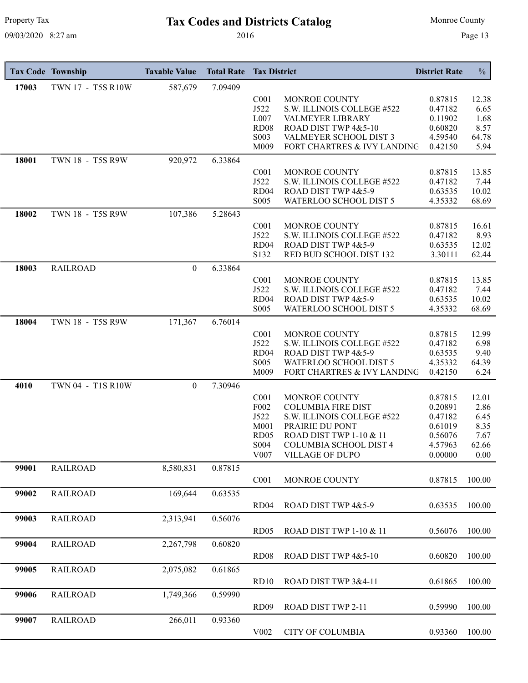# Property Tax **Tax Codes and Districts Catalog** Monroe County

|       | <b>Tax Code Township</b> | <b>Taxable Value</b> | <b>Total Rate</b> | <b>Tax District</b> |                                            | <b>District Rate</b> | $\frac{0}{0}$ |
|-------|--------------------------|----------------------|-------------------|---------------------|--------------------------------------------|----------------------|---------------|
| 17003 | TWN 17 - T5S R10W        | 587,679              | 7.09409           |                     |                                            |                      |               |
|       |                          |                      |                   | C <sub>001</sub>    | MONROE COUNTY                              | 0.87815              | 12.38         |
|       |                          |                      |                   | J522                | S.W. ILLINOIS COLLEGE #522                 | 0.47182              | 6.65          |
|       |                          |                      |                   | L007                | VALMEYER LIBRARY                           | 0.11902              | 1.68          |
|       |                          |                      |                   | <b>RD08</b>         | ROAD DIST TWP 4&5-10                       | 0.60820              | 8.57          |
|       |                          |                      |                   | S003                | VALMEYER SCHOOL DIST 3                     | 4.59540              | 64.78         |
|       |                          |                      |                   | M009                | FORT CHARTRES & IVY LANDING                | 0.42150              | 5.94          |
| 18001 | TWN 18 - T5S R9W         | 920,972              | 6.33864           |                     |                                            |                      |               |
|       |                          |                      |                   | C <sub>001</sub>    | MONROE COUNTY                              | 0.87815              | 13.85         |
|       |                          |                      |                   | J522                | S.W. ILLINOIS COLLEGE #522                 | 0.47182              | 7.44          |
|       |                          |                      |                   | RD <sub>04</sub>    | ROAD DIST TWP 4&5-9                        | 0.63535              | 10.02         |
|       |                          |                      |                   | S005                | WATERLOO SCHOOL DIST 5                     | 4.35332              | 68.69         |
| 18002 | TWN 18 - T5S R9W         | 107,386              | 5.28643           |                     |                                            |                      |               |
|       |                          |                      |                   | C <sub>001</sub>    | MONROE COUNTY                              | 0.87815              | 16.61         |
|       |                          |                      |                   | J522                | S.W. ILLINOIS COLLEGE #522                 | 0.47182              | 8.93          |
|       |                          |                      |                   | RD <sub>04</sub>    | ROAD DIST TWP 4&5-9                        | 0.63535              | 12.02         |
|       |                          |                      |                   | S132                | RED BUD SCHOOL DIST 132                    | 3.30111              | 62.44         |
| 18003 | <b>RAILROAD</b>          | $\overline{0}$       | 6.33864           |                     |                                            |                      |               |
|       |                          |                      |                   | C <sub>001</sub>    | MONROE COUNTY                              | 0.87815              | 13.85         |
|       |                          |                      |                   | J522                | S.W. ILLINOIS COLLEGE #522                 | 0.47182              | 7.44          |
|       |                          |                      |                   | RD <sub>04</sub>    | ROAD DIST TWP 4&5-9                        | 0.63535              | 10.02         |
|       |                          |                      |                   | S <sub>005</sub>    | WATERLOO SCHOOL DIST 5                     | 4.35332              | 68.69         |
| 18004 | TWN 18 - T5S R9W         | 171,367              | 6.76014           |                     |                                            |                      |               |
|       |                          |                      |                   | C <sub>001</sub>    | MONROE COUNTY                              | 0.87815              | 12.99         |
|       |                          |                      |                   | J522                | S.W. ILLINOIS COLLEGE #522                 | 0.47182              | 6.98          |
|       |                          |                      |                   | RD <sub>04</sub>    | ROAD DIST TWP 4&5-9                        | 0.63535              | 9.40          |
|       |                          |                      |                   | S005                | WATERLOO SCHOOL DIST 5                     | 4.35332              | 64.39         |
|       |                          |                      |                   | M009                | FORT CHARTRES & IVY LANDING                | 0.42150              | 6.24          |
| 4010  | TWN 04 - T1S R10W        | $\theta$             | 7.30946           |                     |                                            |                      |               |
|       |                          |                      |                   |                     |                                            |                      |               |
|       |                          |                      |                   | C <sub>001</sub>    | MONROE COUNTY<br><b>COLUMBIA FIRE DIST</b> | 0.87815              | 12.01         |
|       |                          |                      |                   | F <sub>002</sub>    |                                            | 0.20891              | 2.86          |
|       |                          |                      |                   | J522<br>M001        | S.W. ILLINOIS COLLEGE #522                 | 0.47182<br>0.61019   | 6.45<br>8.35  |
|       |                          |                      |                   | RD <sub>05</sub>    | PRAIRIE DU PONT<br>ROAD DIST TWP 1-10 & 11 | 0.56076              |               |
|       |                          |                      |                   | S004                | COLUMBIA SCHOOL DIST 4                     | 4.57963              | 7.67<br>62.66 |
|       |                          |                      |                   | V <sub>0</sub> 07   | <b>VILLAGE OF DUPO</b>                     | 0.00000              |               |
|       |                          |                      |                   |                     |                                            |                      | 0.00          |
| 99001 | <b>RAILROAD</b>          | 8,580,831            | 0.87815           |                     |                                            |                      |               |
|       |                          |                      |                   | C <sub>001</sub>    | MONROE COUNTY                              | 0.87815              | 100.00        |
| 99002 | <b>RAILROAD</b>          | 169,644              | 0.63535           |                     |                                            |                      |               |
|       |                          |                      |                   | RD <sub>04</sub>    | ROAD DIST TWP 4&5-9                        | 0.63535              | 100.00        |
| 99003 | <b>RAILROAD</b>          | 2,313,941            | 0.56076           |                     |                                            |                      |               |
|       |                          |                      |                   | RD05                | ROAD DIST TWP 1-10 & 11                    | 0.56076              | 100.00        |
| 99004 | <b>RAILROAD</b>          | 2,267,798            | 0.60820           |                     |                                            |                      |               |
|       |                          |                      |                   | RD <sub>08</sub>    | ROAD DIST TWP 4&5-10                       | 0.60820              | 100.00        |
|       |                          |                      |                   |                     |                                            |                      |               |
| 99005 | <b>RAILROAD</b>          | 2,075,082            | 0.61865           |                     |                                            |                      |               |
|       |                          |                      |                   | RD10                | ROAD DIST TWP 3&4-11                       | 0.61865              | 100.00        |
| 99006 | <b>RAILROAD</b>          | 1,749,366            | 0.59990           |                     |                                            |                      |               |
|       |                          |                      |                   | RD <sub>09</sub>    | ROAD DIST TWP 2-11                         | 0.59990              | 100.00        |
|       |                          |                      |                   |                     |                                            |                      |               |
| 99007 | <b>RAILROAD</b>          | 266,011              | 0.93360           |                     |                                            |                      |               |
|       |                          |                      |                   | V <sub>0</sub> 02   | <b>CITY OF COLUMBIA</b>                    | 0.93360              | 100.00        |